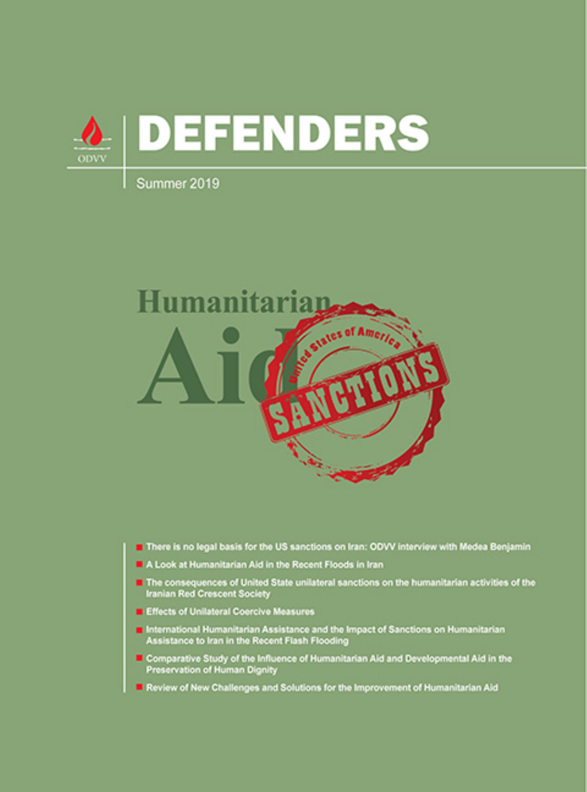

#### Summer 2019



- There is no legal basis for the US sanctions on Iran: ODVV interview with Medea Benjamin
- A Look at Humanitarian Aid in the Recent Floods in Iran
- The consequences of United State unilateral sanctions on the humanitarian activities of the **Iranian Red Crescent Society**
- **Effects of Unilateral Coercive Measures**
- International Humanitarian Assistance and the Impact of Sanctions on Humanitarian Assistance to Iran in the Recent Flash Flooding
- Comparative Study of the Influence of Humanitarian Aid and Developmental Aid in the Preservation of Human Dignity
- Review of New Challenges and Solutions for the Improvement of Humanitarian Aid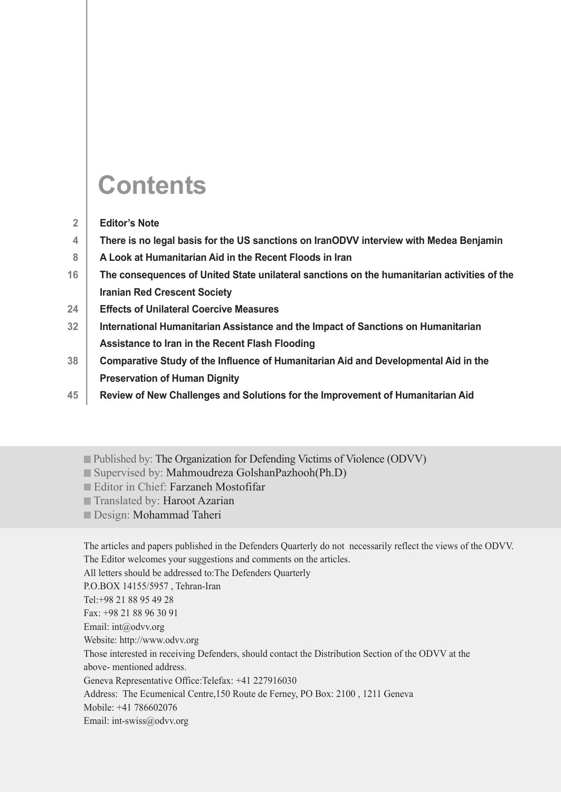### **Contents**

- **Editor's Note 2**
- **There is no legal basis for the US sanctions on IranODVV interview with Medea Benjamin 4**
- **A Look at Humanitarian Aid in the Recent Floods in Iran 8**
- **The consequences of United State unilateral sanctions on the humanitarian activities of the Iranian Red Crescent Society 16**
- **Effects of Unilateral Coercive Measures 24**
- **International Humanitarian Assistance and the Impact of Sanctions on Humanitarian Assistance to Iran in the Recent Flash Flooding 32**
- **Comparative Study of the Influence of Humanitarian Aid and Developmental Aid in the Preservation of Human Dignity 38**
- **Review of New Challenges and Solutions for the Improvement of Humanitarian Aid 45**
	- Published by: The Organization for Defending Victims of Violence (ODVV)
	- Supervised by: Mahmoudreza GolshanPazhooh(Ph.D)
	- Editor in Chief: Farzaneh Mostofifar
	- Translated by: Haroot Azarian
	- Design: Mohammad Taheri

The articles and papers published in the Defenders Quarterly do not necessarily reflect the views of the ODVV. The Editor welcomes your suggestions and comments on the articles.

All letters should be addressed to:The Defenders Quarterly

P.O.BOX 14155/5957 , Tehran-Iran

Tel:+98 21 88 95 49 28

Fax: +98 21 88 96 30 91

Email: int@odvv.org

Website: http://www.odvv.org

Those interested in receiving Defenders, should contact the Distribution Section of the ODVV at the above- mentioned address.

Geneva Representative Office:Telefax: +41 227916030

Address: The Ecumenical Centre,150 Route de Ferney, PO Box: 2100 , 1211 Geneva

Mobile: +41 786602076

Email: int-swiss@odvv.org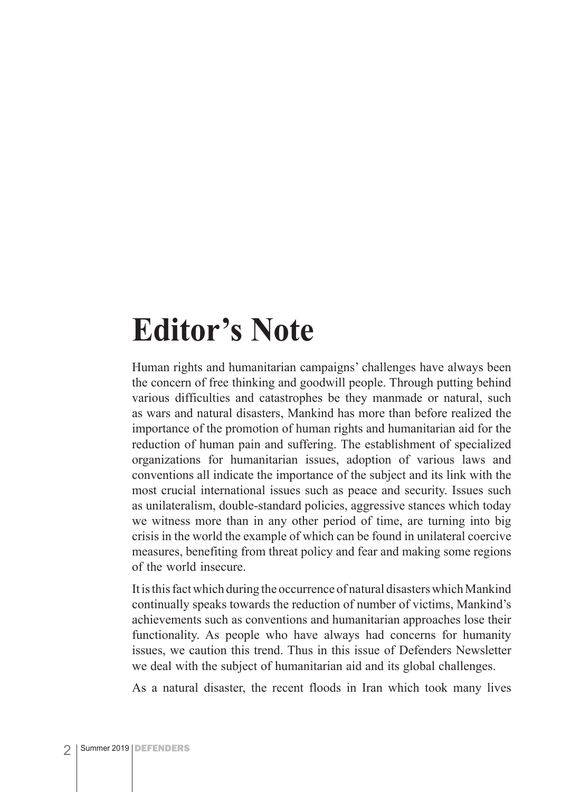### **Editor's Note**

Human rights and humanitarian campaigns' challenges have always been the concern of free thinking and goodwill people. Through putting behind various difficulties and catastrophes be they manmade or natural, such as wars and natural disasters, Mankind has more than before realized the importance of the promotion of human rights and humanitarian aid for the reduction of human pain and suffering. The establishment of specialized organizations for humanitarian issues, adoption of various laws and conventions all indicate the importance of the subject and its link with the most crucial international issues such as peace and security. Issues such as unilateralism, double-standard policies, aggressive stances which today we witness more than in any other period of time, are turning into big crisis in the world the example of which can be found in unilateral coercive measures, benefiting from threat policy and fear and making some regions of the world insecure.

It is this fact which during the occurrence of natural disasters which Mankind continually speaks towards the reduction of number of victims, Mankind's achievements such as conventions and humanitarian approaches lose their functionality. As people who have always had concerns for humanity issues, we caution this trend. Thus in this issue of Defenders Newsletter we deal with the subject of humanitarian aid and its global challenges.

As a natural disaster, the recent floods in Iran which took many lives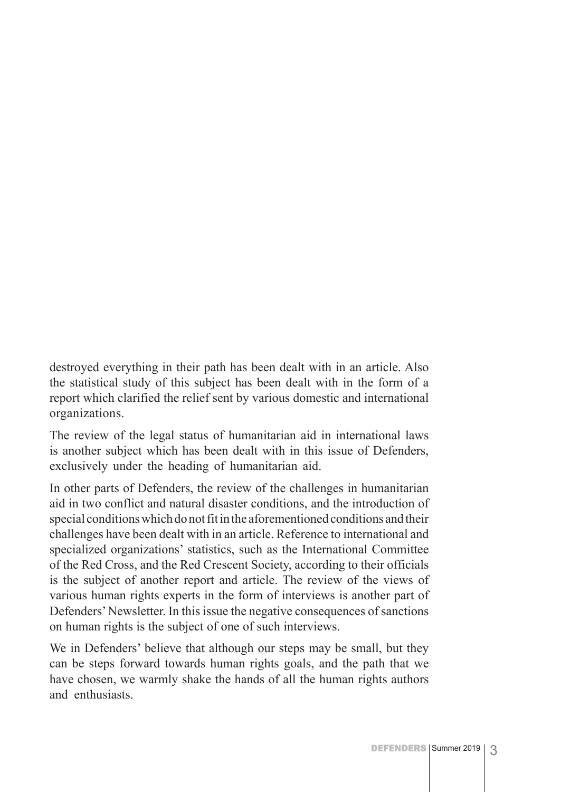destroyed everything in their path has been dealt with in an article. Also the statistical study of this subject has been dealt with in the form of a report which clarified the relief sent by various domestic and international organizations.

The review of the legal status of humanitarian aid in international laws is another subject which has been dealt with in this issue of Defenders, exclusively under the heading of humanitarian aid.

In other parts of Defenders, the review of the challenges in humanitarian aid in two conflict and natural disaster conditions, and the introduction of special conditions which do not fit in the aforementioned conditions and their challenges have been dealt with in an article. Reference to international and specialized organizations' statistics, such as the International Committee of the Red Cross, and the Red Crescent Society, according to their officials is the subject of another report and article. The review of the views of various human rights experts in the form of interviews is another part of Defenders' Newsletter. In this issue the negative consequences of sanctions on human rights is the subject of one of such interviews.

We in Defenders' believe that although our steps may be small, but they can be steps forward towards human rights goals, and the path that we have chosen, we warmly shake the hands of all the human rights authors and enthusiasts.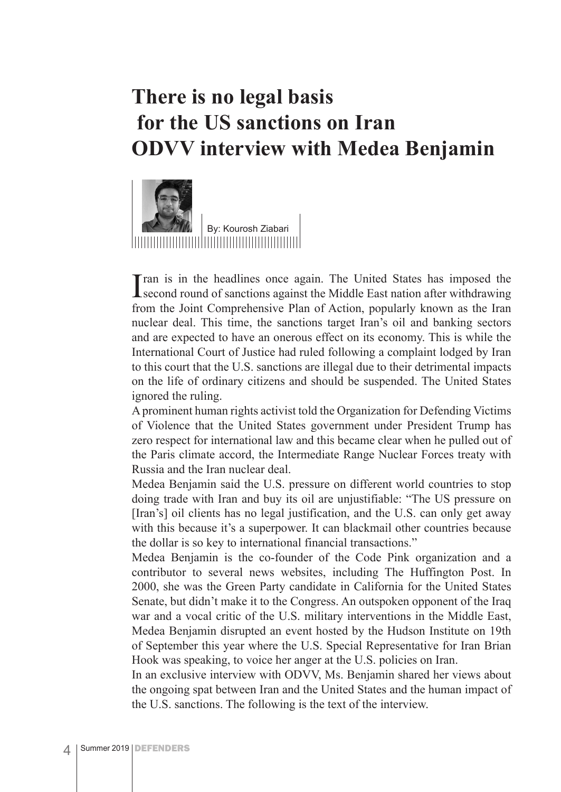### **There is no legal basis for the US sanctions on Iran ODVV interview with Medea Benjamin**



I ran is in the headlines once again. The United States has imposed the second round of sanctions against the Middle East nation after withdrawing second round of sanctions against the Middle East nation after withdrawing from the Joint Comprehensive Plan of Action, popularly known as the Iran nuclear deal. This time, the sanctions target Iran's oil and banking sectors and are expected to have an onerous effect on its economy. This is while the International Court of Justice had ruled following a complaint lodged by Iran to this court that the U.S. sanctions are illegal due to their detrimental impacts on the life of ordinary citizens and should be suspended. The United States ignored the ruling.

A prominent human rights activist told the Organization for Defending Victims of Violence that the United States government under President Trump has zero respect for international law and this became clear when he pulled out of the Paris climate accord, the Intermediate Range Nuclear Forces treaty with Russia and the Iran nuclear deal.

Medea Benjamin said the U.S. pressure on different world countries to stop doing trade with Iran and buy its oil are unjustifiable: "The US pressure on [Iran's] oil clients has no legal justification, and the U.S. can only get away with this because it's a superpower. It can blackmail other countries because the dollar is so key to international financial transactions."

Medea Benjamin is the co-founder of the Code Pink organization and a contributor to several news websites, including The Huffington Post. In 2000, she was the Green Party candidate in California for the United States Senate, but didn't make it to the Congress. An outspoken opponent of the Iraq war and a vocal critic of the U.S. military interventions in the Middle East, Medea Benjamin disrupted an event hosted by the Hudson Institute on 19th of September this year where the U.S. Special Representative for Iran Brian Hook was speaking, to voice her anger at the U.S. policies on Iran.

In an exclusive interview with ODVV, Ms. Benjamin shared her views about the ongoing spat between Iran and the United States and the human impact of the U.S. sanctions. The following is the text of the interview.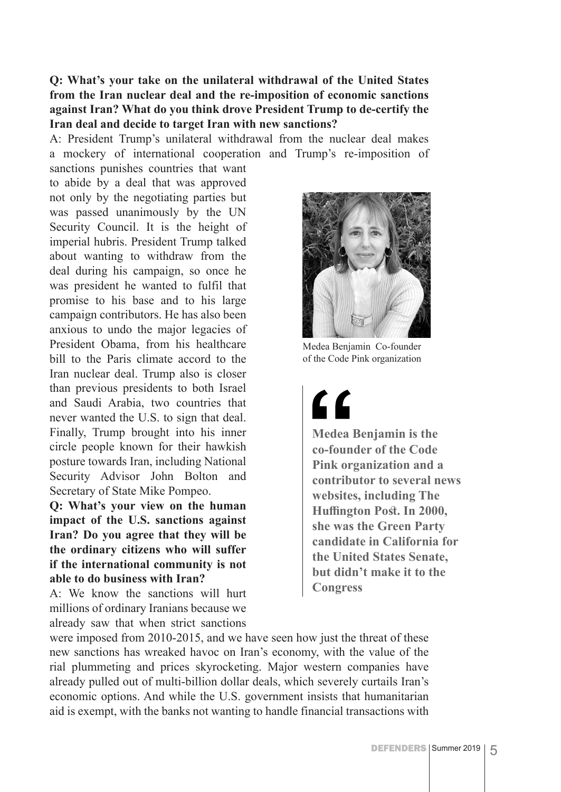**Q: What's your take on the unilateral withdrawal of the United States from the Iran nuclear deal and the re-imposition of economic sanctions against Iran? What do you think drove President Trump to de-certify the Iran deal and decide to target Iran with new sanctions?**

A: President Trump's unilateral withdrawal from the nuclear deal makes a mockery of international cooperation and Trump's re-imposition of

sanctions punishes countries that want to abide by a deal that was approved not only by the negotiating parties but was passed unanimously by the UN Security Council. It is the height of imperial hubris. President Trump talked about wanting to withdraw from the deal during his campaign, so once he was president he wanted to fulfil that promise to his base and to his large campaign contributors. He has also been anxious to undo the major legacies of President Obama, from his healthcare bill to the Paris climate accord to the Iran nuclear deal. Trump also is closer than previous presidents to both Israel and Saudi Arabia, two countries that never wanted the U.S. to sign that deal. Finally, Trump brought into his inner circle people known for their hawkish posture towards Iran, including National Security Advisor John Bolton and Secretary of State Mike Pompeo.

#### **Q: What's your view on the human impact of the U.S. sanctions against Iran? Do you agree that they will be the ordinary citizens who will suffer if the international community is not able to do business with Iran?**

A: We know the sanctions will hurt millions of ordinary Iranians because we already saw that when strict sanctions



Medea Benjamin Co-founder of the Code Pink organization

## <u>"</u>

**Medea Benjamin is the co-founder of the Code Pink organization and a contributor to several news websites, including The Huffington Post. In 2000, she was the Green Party candidate in California for the United States Senate, but didn't make it to the Congress**

were imposed from 2010-2015, and we have seen how just the threat of these new sanctions has wreaked havoc on Iran's economy, with the value of the rial plummeting and prices skyrocketing. Major western companies have already pulled out of multi-billion dollar deals, which severely curtails Iran's economic options. And while the U.S. government insists that humanitarian aid is exempt, with the banks not wanting to handle financial transactions with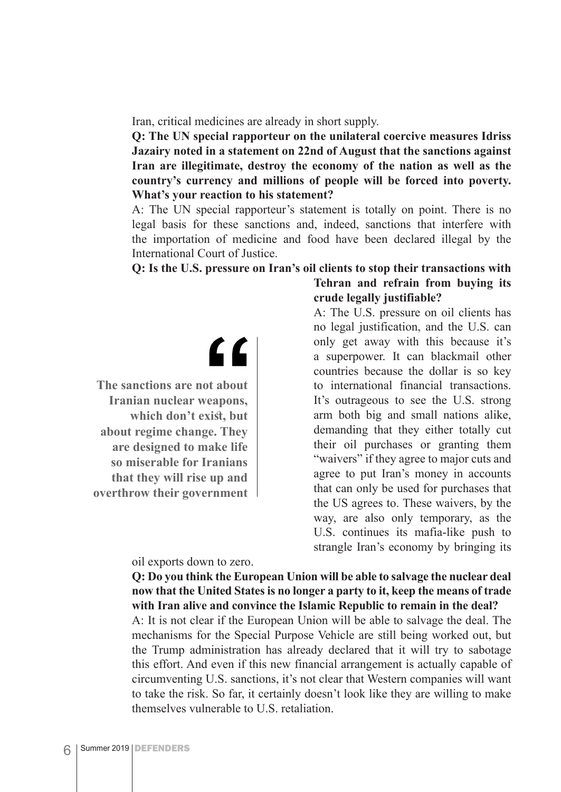Iran, critical medicines are already in short supply.

**Q: The UN special rapporteur on the unilateral coercive measures Idriss Jazairy noted in a statement on 22nd of August that the sanctions against Iran are illegitimate, destroy the economy of the nation as well as the country's currency and millions of people will be forced into poverty. What's your reaction to his statement?**

A: The UN special rapporteur's statement is totally on point. There is no legal basis for these sanctions and, indeed, sanctions that interfere with the importation of medicine and food have been declared illegal by the International Court of Justice.

#### **Q: Is the U.S. pressure on Iran's oil clients to stop their transactions with Tehran and refrain from buying its**

 $\epsilon$ 

**The sanctions are not about Iranian nuclear weapons, which don't exist, but about regime change. They are designed to make life so miserable for Iranians that they will rise up and overthrow their government**

oil exports down to zero.

### **crude legally justifiable?**

A: The U.S. pressure on oil clients has no legal justification, and the U.S. can only get away with this because it's a superpower. It can blackmail other countries because the dollar is so key to international financial transactions. It's outrageous to see the U.S. strong arm both big and small nations alike, demanding that they either totally cut their oil purchases or granting them "waivers" if they agree to major cuts and agree to put Iran's money in accounts that can only be used for purchases that the US agrees to. These waivers, by the way, are also only temporary, as the U.S. continues its mafia-like push to strangle Iran's economy by bringing its

#### **Q: Do you think the European Union will be able to salvage the nuclear deal now that the United States is no longer a party to it, keep the means of trade with Iran alive and convince the Islamic Republic to remain in the deal?**

A: It is not clear if the European Union will be able to salvage the deal. The mechanisms for the Special Purpose Vehicle are still being worked out, but the Trump administration has already declared that it will try to sabotage this effort. And even if this new financial arrangement is actually capable of circumventing U.S. sanctions, it's not clear that Western companies will want to take the risk. So far, it certainly doesn't look like they are willing to make themselves vulnerable to U.S. retaliation.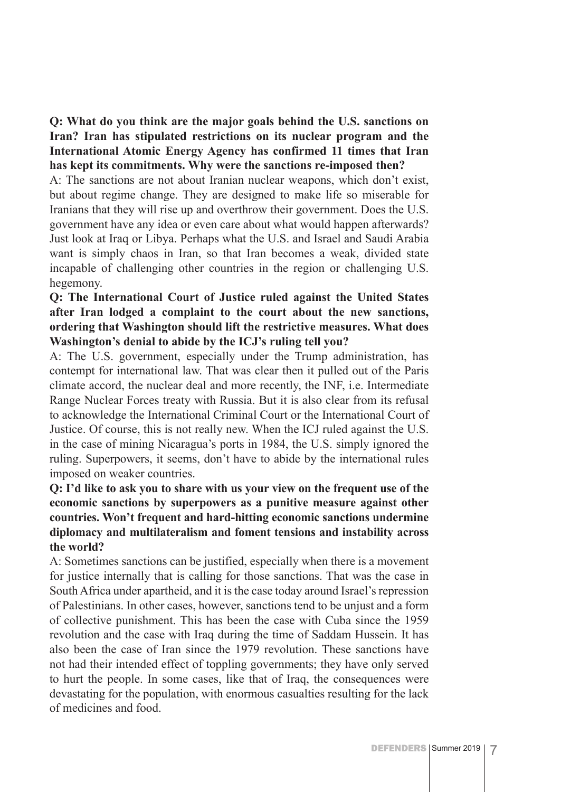**Q: What do you think are the major goals behind the U.S. sanctions on Iran? Iran has stipulated restrictions on its nuclear program and the International Atomic Energy Agency has confirmed 11 times that Iran has kept its commitments. Why were the sanctions re-imposed then?**

A: The sanctions are not about Iranian nuclear weapons, which don't exist, but about regime change. They are designed to make life so miserable for Iranians that they will rise up and overthrow their government. Does the U.S. government have any idea or even care about what would happen afterwards? Just look at Iraq or Libya. Perhaps what the U.S. and Israel and Saudi Arabia want is simply chaos in Iran, so that Iran becomes a weak, divided state incapable of challenging other countries in the region or challenging U.S. hegemony.

#### **Q: The International Court of Justice ruled against the United States after Iran lodged a complaint to the court about the new sanctions, ordering that Washington should lift the restrictive measures. What does Washington's denial to abide by the ICJ's ruling tell you?**

A: The U.S. government, especially under the Trump administration, has contempt for international law. That was clear then it pulled out of the Paris climate accord, the nuclear deal and more recently, the INF, i.e. Intermediate Range Nuclear Forces treaty with Russia. But it is also clear from its refusal to acknowledge the International Criminal Court or the International Court of Justice. Of course, this is not really new. When the ICJ ruled against the U.S. in the case of mining Nicaragua's ports in 1984, the U.S. simply ignored the ruling. Superpowers, it seems, don't have to abide by the international rules imposed on weaker countries.

#### **Q: I'd like to ask you to share with us your view on the frequent use of the economic sanctions by superpowers as a punitive measure against other countries. Won't frequent and hard-hitting economic sanctions undermine diplomacy and multilateralism and foment tensions and instability across the world?**

A: Sometimes sanctions can be justified, especially when there is a movement for justice internally that is calling for those sanctions. That was the case in South Africa under apartheid, and it is the case today around Israel's repression of Palestinians. In other cases, however, sanctions tend to be unjust and a form of collective punishment. This has been the case with Cuba since the 1959 revolution and the case with Iraq during the time of Saddam Hussein. It has also been the case of Iran since the 1979 revolution. These sanctions have not had their intended effect of toppling governments; they have only served to hurt the people. In some cases, like that of Iraq, the consequences were devastating for the population, with enormous casualties resulting for the lack of medicines and food.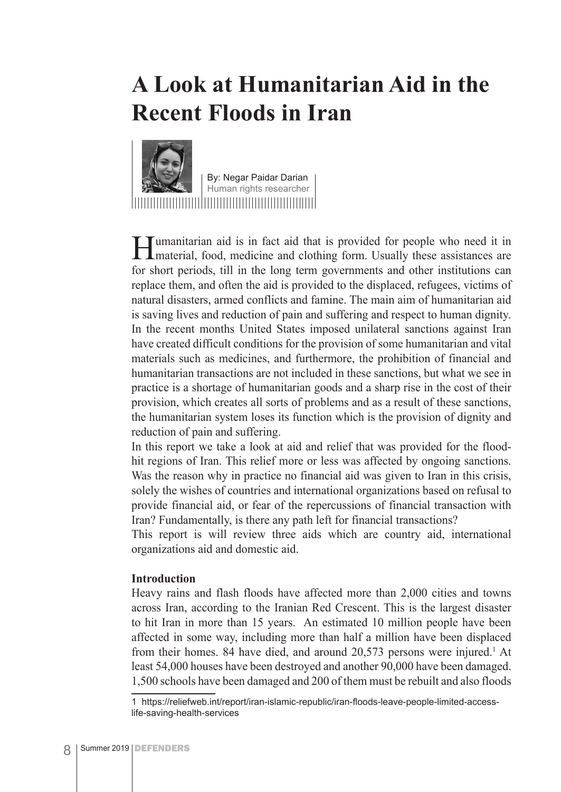### **A Look at Humanitarian Aid in the Recent Floods in Iran**



By: Negar Paidar Darian Human rights researcher

**Humanitarian aid is in fact aid that is provided for people who need it in material, food, medicine and clothing form.** Usually these assistances are for short periods, till in the long term governments and other institutions can replace them, and often the aid is provided to the displaced, refugees, victims of natural disasters, armed conflicts and famine. The main aim of humanitarian aid is saving lives and reduction of pain and suffering and respect to human dignity. In the recent months United States imposed unilateral sanctions against Iran have created difficult conditions for the provision of some humanitarian and vital materials such as medicines, and furthermore, the prohibition of financial and humanitarian transactions are not included in these sanctions, but what we see in practice is a shortage of humanitarian goods and a sharp rise in the cost of their provision, which creates all sorts of problems and as a result of these sanctions, the humanitarian system loses its function which is the provision of dignity and reduction of pain and suffering.

In this report we take a look at aid and relief that was provided for the floodhit regions of Iran. This relief more or less was affected by ongoing sanctions. Was the reason why in practice no financial aid was given to Iran in this crisis, solely the wishes of countries and international organizations based on refusal to provide financial aid, or fear of the repercussions of financial transaction with Iran? Fundamentally, is there any path left for financial transactions?

This report is will review three aids which are country aid, international organizations aid and domestic aid.

#### **Introduction**

Heavy rains and flash floods have affected more than 2,000 cities and towns across Iran, according to the Iranian Red Crescent. This is the largest disaster to hit Iran in more than 15 years. An estimated 10 million people have been affected in some way, including more than half a million have been displaced from their homes. 84 have died, and around 20,573 persons were injured.<sup>1</sup> At least 54,000 houses have been destroyed and another 90,000 have been damaged. 1,500 schools have been damaged and 200 of them must be rebuilt and also floods

<sup>1</sup> https://reliefweb.int/report/iran-islamic-republic/iran-floods-leave-people-limited-accesslife-saving-health-services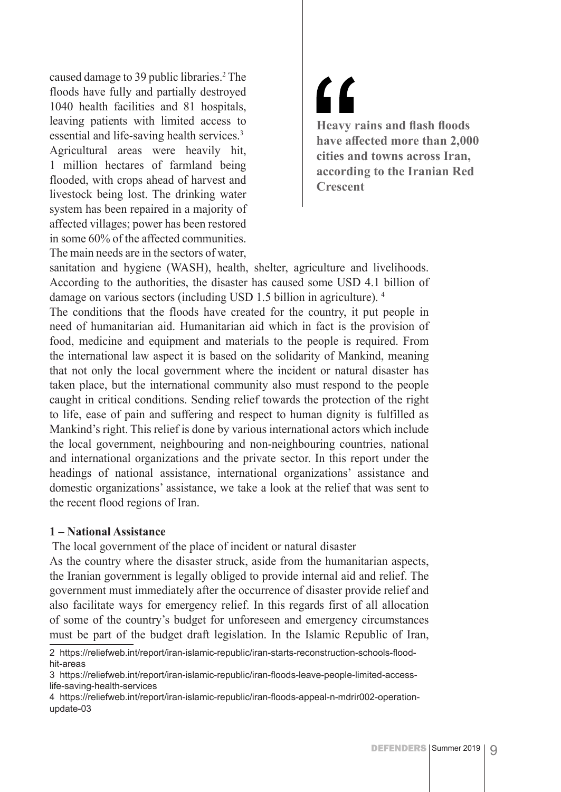caused damage to 39 public libraries.<sup>2</sup> The floods have fully and partially destroyed 1040 health facilities and 81 hospitals, leaving patients with limited access to essential and life-saving health services.3 Agricultural areas were heavily hit, 1 million hectares of farmland being flooded, with crops ahead of harvest and livestock being lost. The drinking water system has been repaired in a majority of affected villages; power has been restored in some 60% of the affected communities. The main needs are in the sectors of water,

### 71 **Heavy rains and flash floods have affected more than 2,000 cities and towns across Iran, according to the Iranian Red Crescent**

sanitation and hygiene (WASH), health, shelter, agriculture and livelihoods. According to the authorities, the disaster has caused some USD 4.1 billion of damage on various sectors (including USD 1.5 billion in agriculture). 4

The conditions that the floods have created for the country, it put people in need of humanitarian aid. Humanitarian aid which in fact is the provision of food, medicine and equipment and materials to the people is required. From the international law aspect it is based on the solidarity of Mankind, meaning that not only the local government where the incident or natural disaster has taken place, but the international community also must respond to the people caught in critical conditions. Sending relief towards the protection of the right to life, ease of pain and suffering and respect to human dignity is fulfilled as Mankind's right. This relief is done by various international actors which include the local government, neighbouring and non-neighbouring countries, national and international organizations and the private sector. In this report under the headings of national assistance, international organizations' assistance and domestic organizations' assistance, we take a look at the relief that was sent to the recent flood regions of Iran.

#### **1 – National Assistance**

The local government of the place of incident or natural disaster

As the country where the disaster struck, aside from the humanitarian aspects, the Iranian government is legally obliged to provide internal aid and relief. The government must immediately after the occurrence of disaster provide relief and also facilitate ways for emergency relief. In this regards first of all allocation of some of the country's budget for unforeseen and emergency circumstances must be part of the budget draft legislation. In the Islamic Republic of Iran,

<sup>2</sup> https://reliefweb.int/report/iran-islamic-republic/iran-starts-reconstruction-schools-floodhit-areas

<sup>3</sup> https://reliefweb.int/report/iran-islamic-republic/iran-floods-leave-people-limited-accesslife-saving-health-services

<sup>4</sup> https://reliefweb.int/report/iran-islamic-republic/iran-floods-appeal-n-mdrir002-operationupdate-03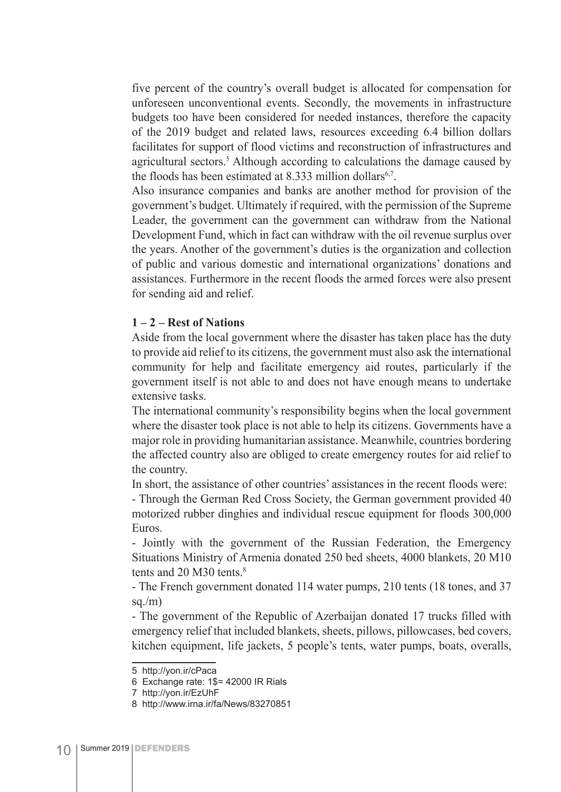five percent of the country's overall budget is allocated for compensation for unforeseen unconventional events. Secondly, the movements in infrastructure budgets too have been considered for needed instances, therefore the capacity of the 2019 budget and related laws, resources exceeding 6.4 billion dollars facilitates for support of flood victims and reconstruction of infrastructures and agricultural sectors.<sup>5</sup> Although according to calculations the damage caused by the floods has been estimated at  $8.333$  million dollars<sup>6,7</sup>.

Also insurance companies and banks are another method for provision of the government's budget. Ultimately if required, with the permission of the Supreme Leader, the government can the government can withdraw from the National Development Fund, which in fact can withdraw with the oil revenue surplus over the years. Another of the government's duties is the organization and collection of public and various domestic and international organizations' donations and assistances. Furthermore in the recent floods the armed forces were also present for sending aid and relief.

#### **1 – 2 – Rest of Nations**

Aside from the local government where the disaster has taken place has the duty to provide aid relief to its citizens, the government must also ask the international community for help and facilitate emergency aid routes, particularly if the government itself is not able to and does not have enough means to undertake extensive tasks.

The international community's responsibility begins when the local government where the disaster took place is not able to help its citizens. Governments have a major role in providing humanitarian assistance. Meanwhile, countries bordering the affected country also are obliged to create emergency routes for aid relief to the country.

In short, the assistance of other countries' assistances in the recent floods were: - Through the German Red Cross Society, the German government provided 40

motorized rubber dinghies and individual rescue equipment for floods 300,000 Euros.

- Jointly with the government of the Russian Federation, the Emergency Situations Ministry of Armenia donated 250 bed sheets, 4000 blankets, 20 M10 tents and 20 M30 tents.<sup>8</sup>

- The French government donated 114 water pumps, 210 tents (18 tones, and 37 sq. $/m$ )

- The government of the Republic of Azerbaijan donated 17 trucks filled with emergency relief that included blankets, sheets, pillows, pillowcases, bed covers, kitchen equipment, life jackets, 5 people's tents, water pumps, boats, overalls,

<sup>5</sup> http://yon.ir/cPaca

<sup>6</sup> Exchange rate: 1\$= 42000 IR Rials

<sup>7</sup> http://yon.ir/EzUhF

<sup>8</sup> http://www.irna.ir/fa/News/83270851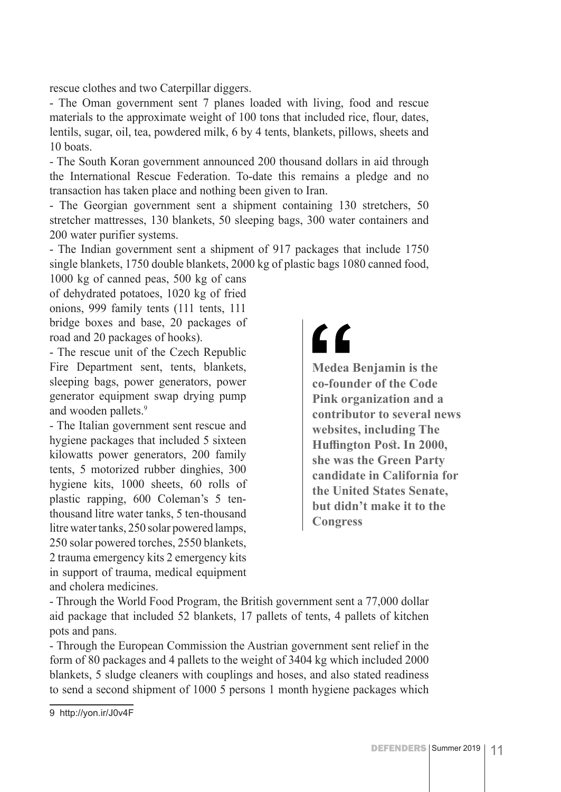rescue clothes and two Caterpillar diggers.

- The Oman government sent 7 planes loaded with living, food and rescue materials to the approximate weight of 100 tons that included rice, flour, dates, lentils, sugar, oil, tea, powdered milk, 6 by 4 tents, blankets, pillows, sheets and 10 boats.

- The South Koran government announced 200 thousand dollars in aid through the International Rescue Federation. To-date this remains a pledge and no transaction has taken place and nothing been given to Iran.

- The Georgian government sent a shipment containing 130 stretchers, 50 stretcher mattresses, 130 blankets, 50 sleeping bags, 300 water containers and 200 water purifier systems.

- The Indian government sent a shipment of 917 packages that include 1750 single blankets, 1750 double blankets, 2000 kg of plastic bags 1080 canned food,

1000 kg of canned peas, 500 kg of cans of dehydrated potatoes, 1020 kg of fried onions, 999 family tents (111 tents, 111 bridge boxes and base, 20 packages of road and 20 packages of hooks).

- The rescue unit of the Czech Republic Fire Department sent, tents, blankets, sleeping bags, power generators, power generator equipment swap drying pump and wooden pallets.<sup>9</sup>

- The Italian government sent rescue and hygiene packages that included 5 sixteen kilowatts power generators, 200 family tents, 5 motorized rubber dinghies, 300 hygiene kits, 1000 sheets, 60 rolls of plastic rapping, 600 Coleman's 5 tenthousand litre water tanks, 5 ten-thousand litre water tanks, 250 solar powered lamps, 250 solar powered torches, 2550 blankets, 2 trauma emergency kits 2 emergency kits in support of trauma, medical equipment and cholera medicines.

## <u>"</u>

**Medea Benjamin is the co-founder of the Code Pink organization and a contributor to several news websites, including The Huffington Post. In 2000, she was the Green Party candidate in California for the United States Senate, but didn't make it to the Congress**

- Through the World Food Program, the British government sent a 77,000 dollar aid package that included 52 blankets, 17 pallets of tents, 4 pallets of kitchen pots and pans.

- Through the European Commission the Austrian government sent relief in the form of 80 packages and 4 pallets to the weight of 3404 kg which included 2000 blankets, 5 sludge cleaners with couplings and hoses, and also stated readiness to send a second shipment of 1000 5 persons 1 month hygiene packages which

<sup>9</sup> http://yon.ir/J0v4F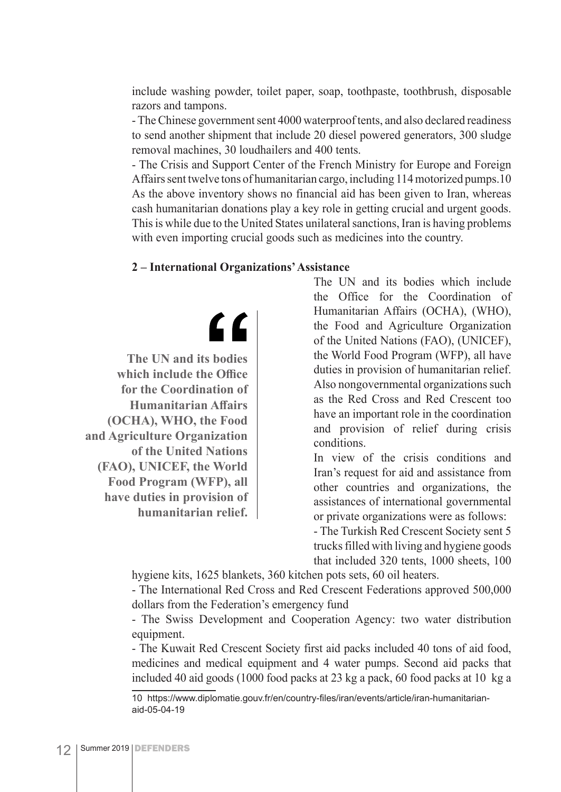include washing powder, toilet paper, soap, toothpaste, toothbrush, disposable razors and tampons.

- The Chinese government sent 4000 waterproof tents, and also declared readiness to send another shipment that include 20 diesel powered generators, 300 sludge removal machines, 30 loudhailers and 400 tents.

- The Crisis and Support Center of the French Ministry for Europe and Foreign Affairs sent twelve tons of humanitarian cargo, including 114 motorized pumps.10 As the above inventory shows no financial aid has been given to Iran, whereas cash humanitarian donations play a key role in getting crucial and urgent goods. This is while due to the United States unilateral sanctions, Iran is having problems with even importing crucial goods such as medicines into the country.

#### **2 – International Organizations' Assistance**

 $\epsilon$ 

**The UN and its bodies which include the Office for the Coordination of Humanitarian Affairs (OCHA), WHO, the Food and Agriculture Organization of the United Nations (FAO), UNICEF, the World Food Program (WFP), all have duties in provision of humanitarian relief.**

The UN and its bodies which include the Office for the Coordination of Humanitarian Affairs (OCHA), (WHO), the Food and Agriculture Organization of the United Nations (FAO), (UNICEF), the World Food Program (WFP), all have duties in provision of humanitarian relief. Also nongovernmental organizations such as the Red Cross and Red Crescent too have an important role in the coordination and provision of relief during crisis conditions.

In view of the crisis conditions and Iran's request for aid and assistance from other countries and organizations, the assistances of international governmental or private organizations were as follows:

- The Turkish Red Crescent Society sent 5 trucks filled with living and hygiene goods that included 320 tents, 1000 sheets, 100

hygiene kits, 1625 blankets, 360 kitchen pots sets, 60 oil heaters.

- The International Red Cross and Red Crescent Federations approved 500,000 dollars from the Federation's emergency fund

- The Swiss Development and Cooperation Agency: two water distribution equipment.

- The Kuwait Red Crescent Society first aid packs included 40 tons of aid food, medicines and medical equipment and 4 water pumps. Second aid packs that included 40 aid goods (1000 food packs at 23 kg a pack, 60 food packs at 10 kg a

<sup>10</sup> https://www.diplomatie.gouv.fr/en/country-files/iran/events/article/iran-humanitarianaid-05-04-19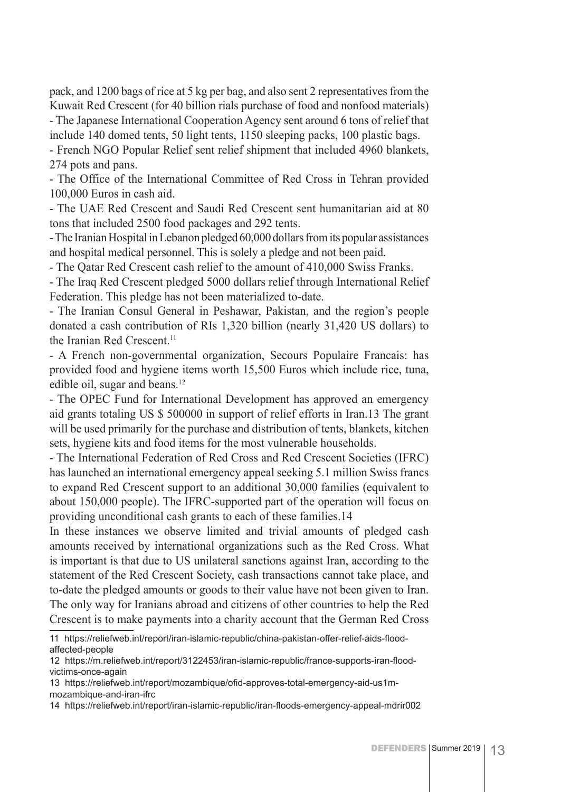pack, and 1200 bags of rice at 5 kg per bag, and also sent 2 representatives from the Kuwait Red Crescent (for 40 billion rials purchase of food and nonfood materials) - The Japanese International Cooperation Agency sent around 6 tons of relief that include 140 domed tents, 50 light tents, 1150 sleeping packs, 100 plastic bags.

- French NGO Popular Relief sent relief shipment that included 4960 blankets, 274 pots and pans.

- The Office of the International Committee of Red Cross in Tehran provided 100,000 Euros in cash aid.

- The UAE Red Crescent and Saudi Red Crescent sent humanitarian aid at 80 tons that included 2500 food packages and 292 tents.

- The Iranian Hospital in Lebanon pledged 60,000 dollars from its popular assistances and hospital medical personnel. This is solely a pledge and not been paid.

- The Qatar Red Crescent cash relief to the amount of 410,000 Swiss Franks.

- The Iraq Red Crescent pledged 5000 dollars relief through International Relief Federation. This pledge has not been materialized to-date.

- The Iranian Consul General in Peshawar, Pakistan, and the region's people donated a cash contribution of RIs 1,320 billion (nearly 31,420 US dollars) to the Iranian Red Crescent.<sup>11</sup>

- A French non-governmental organization, Secours Populaire Francais: has provided food and hygiene items worth 15,500 Euros which include rice, tuna, edible oil, sugar and beans.<sup>12</sup>

- The OPEC Fund for International Development has approved an emergency aid grants totaling US \$ 500000 in support of relief efforts in Iran.13 The grant will be used primarily for the purchase and distribution of tents, blankets, kitchen sets, hygiene kits and food items for the most vulnerable households.

- The International Federation of Red Cross and Red Crescent Societies (IFRC) has launched an international emergency appeal seeking 5.1 million Swiss francs to expand Red Crescent support to an additional 30,000 families (equivalent to about 150,000 people). The IFRC-supported part of the operation will focus on providing unconditional cash grants to each of these families.14

In these instances we observe limited and trivial amounts of pledged cash amounts received by international organizations such as the Red Cross. What is important is that due to US unilateral sanctions against Iran, according to the statement of the Red Crescent Society, cash transactions cannot take place, and to-date the pledged amounts or goods to their value have not been given to Iran. The only way for Iranians abroad and citizens of other countries to help the Red Crescent is to make payments into a charity account that the German Red Cross

<sup>11</sup> https://reliefweb.int/report/iran-islamic-republic/china-pakistan-offer-relief-aids-floodaffected-people

<sup>12</sup> https://m.reliefweb.int/report/3122453/iran-islamic-republic/france-supports-iran-floodvictims-once-again

<sup>13</sup> https://reliefweb.int/report/mozambique/ofid-approves-total-emergency-aid-us1mmozambique-and-iran-ifrc

<sup>14</sup> https://reliefweb.int/report/iran-islamic-republic/iran-floods-emergency-appeal-mdrir002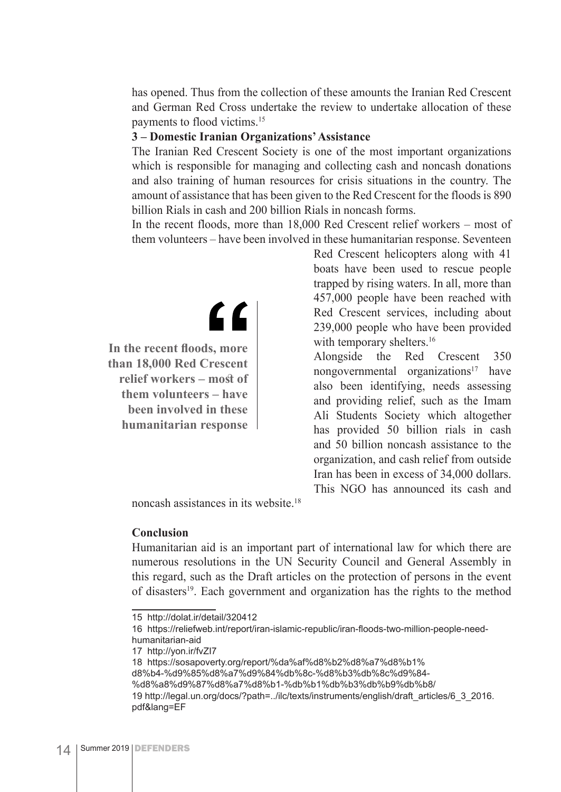has opened. Thus from the collection of these amounts the Iranian Red Crescent and German Red Cross undertake the review to undertake allocation of these payments to flood victims.15

#### **3 – Domestic Iranian Organizations' Assistance**

The Iranian Red Crescent Society is one of the most important organizations which is responsible for managing and collecting cash and noncash donations and also training of human resources for crisis situations in the country. The amount of assistance that has been given to the Red Crescent for the floods is 890 billion Rials in cash and 200 billion Rials in noncash forms.

In the recent floods, more than 18,000 Red Crescent relief workers – most of them volunteers – have been involved in these humanitarian response. Seventeen

> Red Crescent helicopters along with 41 boats have been used to rescue people trapped by rising waters. In all, more than 457,000 people have been reached with Red Crescent services, including about 239,000 people who have been provided with temporary shelters.<sup>16</sup>

> Alongside the Red Crescent 350 nongovernmental organizations<sup>17</sup> have also been identifying, needs assessing and providing relief, such as the Imam Ali Students Society which altogether has provided 50 billion rials in cash and 50 billion noncash assistance to the organization, and cash relief from outside Iran has been in excess of 34,000 dollars. This NGO has announced its cash and

noncash assistances in its website.18

 $\epsilon$ 

#### **Conclusion**

Humanitarian aid is an important part of international law for which there are numerous resolutions in the UN Security Council and General Assembly in this regard, such as the Draft articles on the protection of persons in the event of disasters<sup>19</sup>. Each government and organization has the rights to the method

**In the recent floods, more than 18,000 Red Crescent relief workers – most of them volunteers – have been involved in these humanitarian response**

<sup>15</sup> http://dolat.ir/detail/320412

<sup>16</sup> https://reliefweb.int/report/iran-islamic-republic/iran-floods-two-million-people-needhumanitarian-aid

<sup>17</sup> http://yon.ir/fvZI7

<sup>18</sup> https://sosapoverty.org/report/%da%af%d8%b2%d8%a7%d8%b1%

d8%b4-%d9%85%d8%a7%d9%84%db%8c-%d8%b3%db%8c%d9%84-

<sup>%</sup>d8%a8%d9%87%d8%a7%d8%b1-%db%b1%db%b3%db%b9%db%b8/

<sup>19</sup> http://legal.un.org/docs/?path=../ilc/texts/instruments/english/draft\_articles/6\_3\_2016. pdf&lang=EF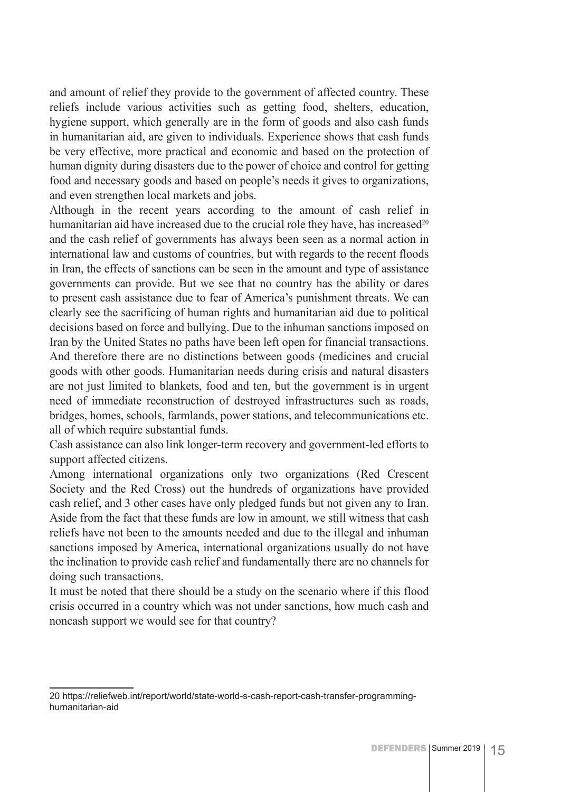and amount of relief they provide to the government of affected country. These reliefs include various activities such as getting food, shelters, education, hygiene support, which generally are in the form of goods and also cash funds in humanitarian aid, are given to individuals. Experience shows that cash funds be very effective, more practical and economic and based on the protection of human dignity during disasters due to the power of choice and control for getting food and necessary goods and based on people's needs it gives to organizations, and even strengthen local markets and jobs.

Although in the recent years according to the amount of cash relief in humanitarian aid have increased due to the crucial role they have, has increased<sup>20</sup> and the cash relief of governments has always been seen as a normal action in international law and customs of countries, but with regards to the recent floods in Iran, the effects of sanctions can be seen in the amount and type of assistance governments can provide. But we see that no country has the ability or dares to present cash assistance due to fear of America's punishment threats. We can clearly see the sacrificing of human rights and humanitarian aid due to political decisions based on force and bullying. Due to the inhuman sanctions imposed on Iran by the United States no paths have been left open for financial transactions. And therefore there are no distinctions between goods (medicines and crucial goods with other goods. Humanitarian needs during crisis and natural disasters are not just limited to blankets, food and ten, but the government is in urgent need of immediate reconstruction of destroyed infrastructures such as roads, bridges, homes, schools, farmlands, power stations, and telecommunications etc. all of which require substantial funds.

Cash assistance can also link longer-term recovery and government-led efforts to support affected citizens.

Among international organizations only two organizations (Red Crescent Society and the Red Cross) out the hundreds of organizations have provided cash relief, and 3 other cases have only pledged funds but not given any to Iran. Aside from the fact that these funds are low in amount, we still witness that cash reliefs have not been to the amounts needed and due to the illegal and inhuman sanctions imposed by America, international organizations usually do not have the inclination to provide cash relief and fundamentally there are no channels for doing such transactions.

It must be noted that there should be a study on the scenario where if this flood crisis occurred in a country which was not under sanctions, how much cash and noncash support we would see for that country?

<sup>20</sup> https://reliefweb.int/report/world/state-world-s-cash-report-cash-transfer-programminghumanitarian-aid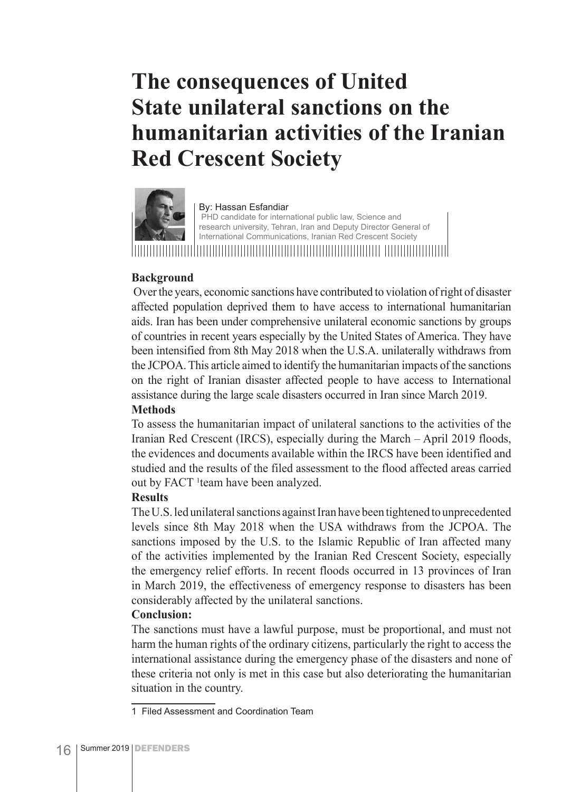### **The consequences of United State unilateral sanctions on the humanitarian activities of the Iranian Red Crescent Society**



By: Hassan Esfandiar PHD candidate for international public law, Science and research university, Tehran, Iran and Deputy Director General of International Communications, Iranian Red Crescent Society 

#### **Background**

 Over the years, economic sanctions have contributed to violation of right of disaster affected population deprived them to have access to international humanitarian aids. Iran has been under comprehensive unilateral economic sanctions by groups of countries in recent years especially by the United States of America. They have been intensified from 8th May 2018 when the U.S.A. unilaterally withdraws from the JCPOA. This article aimed to identify the humanitarian impacts of the sanctions on the right of Iranian disaster affected people to have access to International assistance during the large scale disasters occurred in Iran since March 2019.

#### **Methods**

To assess the humanitarian impact of unilateral sanctions to the activities of the Iranian Red Crescent (IRCS), especially during the March – April 2019 floods, the evidences and documents available within the IRCS have been identified and studied and the results of the filed assessment to the flood affected areas carried out by FACT <sup>1</sup> team have been analyzed.

#### **Results**

The U.S. led unilateral sanctions against Iran have been tightened to unprecedented levels since 8th May 2018 when the USA withdraws from the JCPOA. The sanctions imposed by the U.S. to the Islamic Republic of Iran affected many of the activities implemented by the Iranian Red Crescent Society, especially the emergency relief efforts. In recent floods occurred in 13 provinces of Iran in March 2019, the effectiveness of emergency response to disasters has been considerably affected by the unilateral sanctions.

#### **Conclusion:**

The sanctions must have a lawful purpose, must be proportional, and must not harm the human rights of the ordinary citizens, particularly the right to access the international assistance during the emergency phase of the disasters and none of these criteria not only is met in this case but also deteriorating the humanitarian situation in the country.

<sup>1</sup> Filed Assessment and Coordination Team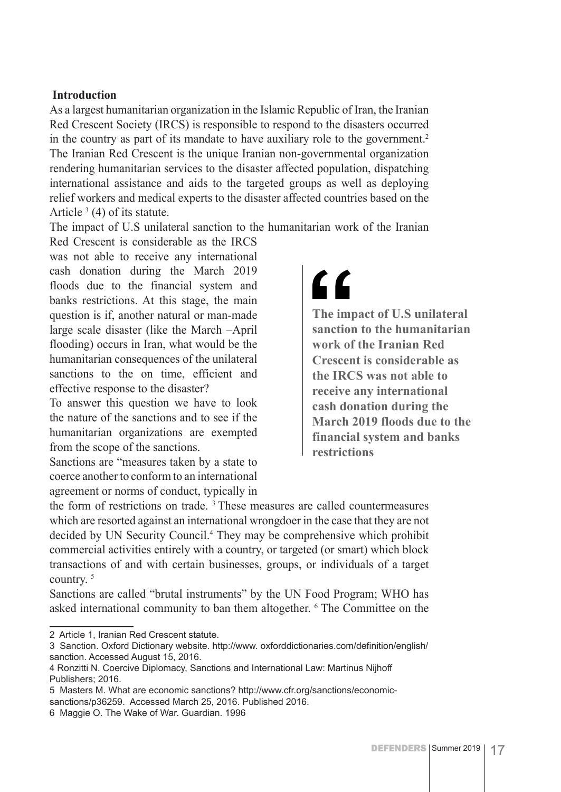#### **Introduction**

As a largest humanitarian organization in the Islamic Republic of Iran, the Iranian Red Crescent Society (IRCS) is responsible to respond to the disasters occurred in the country as part of its mandate to have auxiliary role to the government.<sup>2</sup> The Iranian Red Crescent is the unique Iranian non-governmental organization rendering humanitarian services to the disaster affected population, dispatching international assistance and aids to the targeted groups as well as deploying relief workers and medical experts to the disaster affected countries based on the Article  $3(4)$  of its statute.

The impact of U.S unilateral sanction to the humanitarian work of the Iranian

Red Crescent is considerable as the IRCS was not able to receive any international cash donation during the March 2019 floods due to the financial system and banks restrictions. At this stage, the main question is if, another natural or man-made large scale disaster (like the March –April flooding) occurs in Iran, what would be the humanitarian consequences of the unilateral sanctions to the on time, efficient and effective response to the disaster?

To answer this question we have to look the nature of the sanctions and to see if the humanitarian organizations are exempted from the scope of the sanctions.

Sanctions are "measures taken by a state to coerce another to conform to an international agreement or norms of conduct, typically in

## <u>"</u>

**The impact of U.S unilateral sanction to the humanitarian work of the Iranian Red Crescent is considerable as the IRCS was not able to receive any international cash donation during the March 2019 floods due to the financial system and banks restrictions**

the form of restrictions on trade.  $3$  These measures are called countermeasures which are resorted against an international wrongdoer in the case that they are not decided by UN Security Council.4 They may be comprehensive which prohibit commercial activities entirely with a country, or targeted (or smart) which block transactions of and with certain businesses, groups, or individuals of a target country. 5

Sanctions are called "brutal instruments" by the UN Food Program; WHO has asked international community to ban them altogether. <sup>6</sup> The Committee on the

2 Article 1, Iranian Red Crescent statute.

<sup>3</sup> Sanction. Oxford Dictionary website. http://www. oxforddictionaries.com/definition/english/ sanction. Accessed August 15, 2016.

<sup>4</sup> Ronzitti N. Coercive Diplomacy, Sanctions and International Law: Martinus Nijhoff Publishers; 2016.

<sup>5</sup> Masters M. What are economic sanctions? http://www.cfr.org/sanctions/economicsanctions/p36259. Accessed March 25, 2016. Published 2016.

<sup>6</sup> Maggie O. The Wake of War. Guardian. 1996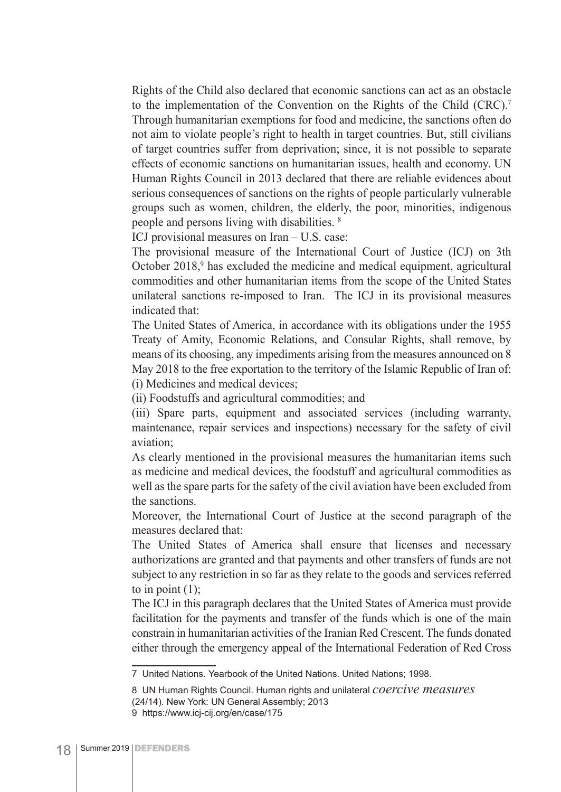Rights of the Child also declared that economic sanctions can act as an obstacle to the implementation of the Convention on the Rights of the Child (CRC).7 Through humanitarian exemptions for food and medicine, the sanctions often do not aim to violate people's right to health in target countries. But, still civilians of target countries suffer from deprivation; since, it is not possible to separate effects of economic sanctions on humanitarian issues, health and economy. UN Human Rights Council in 2013 declared that there are reliable evidences about serious consequences of sanctions on the rights of people particularly vulnerable groups such as women, children, the elderly, the poor, minorities, indigenous people and persons living with disabilities. 8

ICJ provisional measures on Iran – U.S. case:

The provisional measure of the International Court of Justice (ICJ) on 3th October 2018,<sup>9</sup> has excluded the medicine and medical equipment, agricultural commodities and other humanitarian items from the scope of the United States unilateral sanctions re-imposed to Iran. The ICJ in its provisional measures indicated that:

The United States of America, in accordance with its obligations under the 1955 Treaty of Amity, Economic Relations, and Consular Rights, shall remove, by means of its choosing, any impediments arising from the measures announced on 8 May 2018 to the free exportation to the territory of the Islamic Republic of Iran of: (i) Medicines and medical devices;

(ii) Foodstuffs and agricultural commodities; and

(iii) Spare parts, equipment and associated services (including warranty, maintenance, repair services and inspections) necessary for the safety of civil aviation;

As clearly mentioned in the provisional measures the humanitarian items such as medicine and medical devices, the foodstuff and agricultural commodities as well as the spare parts for the safety of the civil aviation have been excluded from the sanctions.

Moreover, the International Court of Justice at the second paragraph of the measures declared that:

The United States of America shall ensure that licenses and necessary authorizations are granted and that payments and other transfers of funds are not subject to any restriction in so far as they relate to the goods and services referred to in point  $(1)$ ;

The ICJ in this paragraph declares that the United States of America must provide facilitation for the payments and transfer of the funds which is one of the main constrain in humanitarian activities of the Iranian Red Crescent. The funds donated either through the emergency appeal of the International Federation of Red Cross

<sup>7</sup> United Nations. Yearbook of the United Nations. United Nations; 1998.

<sup>8</sup> UN Human Rights Council. Human rights and unilateral *coercive measures*  (24/14). New York: UN General Assembly; 2013

<sup>9</sup> https://www.icj-cij.org/en/case/175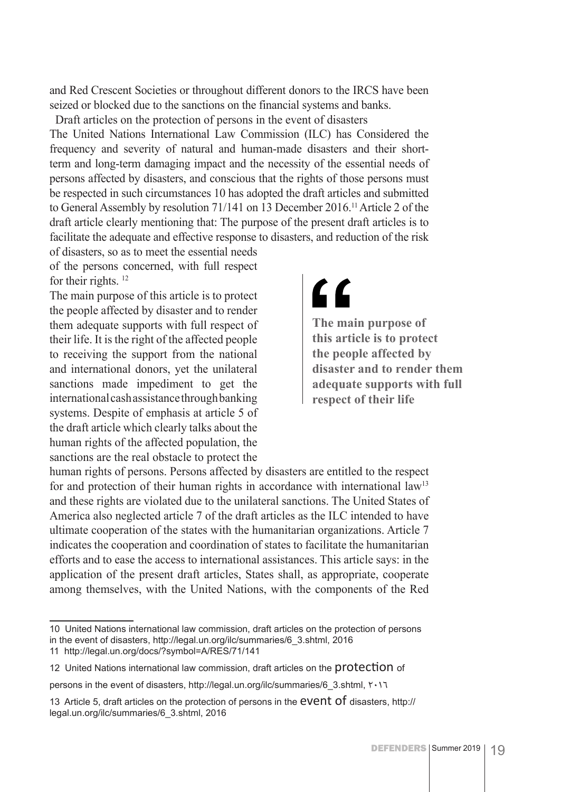and Red Crescent Societies or throughout different donors to the IRCS have been seized or blocked due to the sanctions on the financial systems and banks.

Draft articles on the protection of persons in the event of disasters

The United Nations International Law Commission (ILC) has Considered the frequency and severity of natural and human-made disasters and their shortterm and long-term damaging impact and the necessity of the essential needs of persons affected by disasters, and conscious that the rights of those persons must be respected in such circumstances 10 has adopted the draft articles and submitted to General Assembly by resolution 71/141 on 13 December 2016.<sup>11</sup> Article 2 of the draft article clearly mentioning that: The purpose of the present draft articles is to facilitate the adequate and effective response to disasters, and reduction of the risk

of disasters, so as to meet the essential needs of the persons concerned, with full respect for their rights.<sup>12</sup>

The main purpose of this article is to protect the people affected by disaster and to render them adequate supports with full respect of their life. It is the right of the affected people to receiving the support from the national and international donors, yet the unilateral sanctions made impediment to get the international cash assistance through banking systems. Despite of emphasis at article 5 of the draft article which clearly talks about the human rights of the affected population, the sanctions are the real obstacle to protect the

## <u>"</u>

**The main purpose of this article is to protect the people affected by disaster and to render them adequate supports with full respect of their life**

human rights of persons. Persons affected by disasters are entitled to the respect for and protection of their human rights in accordance with international law<sup>13</sup> and these rights are violated due to the unilateral sanctions. The United States of America also neglected article 7 of the draft articles as the ILC intended to have ultimate cooperation of the states with the humanitarian organizations. Article 7 indicates the cooperation and coordination of states to facilitate the humanitarian efforts and to ease the access to international assistances. This article says: in the application of the present draft articles, States shall, as appropriate, cooperate among themselves, with the United Nations, with the components of the Red

<sup>10</sup> United Nations international law commission, draft articles on the protection of persons in the event of disasters, http://legal.un.org/ilc/summaries/6\_3.shtml, 2016

<sup>11</sup> http://legal.un.org/docs/?symbol=A/RES/71/141

<sup>12</sup> United Nations international law commission, draft articles on the protection of

persons in the event of disasters, http://legal.un.org/ilc/summaries/6\_3.shtml, Y .11

<sup>13</sup> Article 5, draft articles on the protection of persons in the **event of** disasters, http:// legal.un.org/ilc/summaries/6\_3.shtml, 2016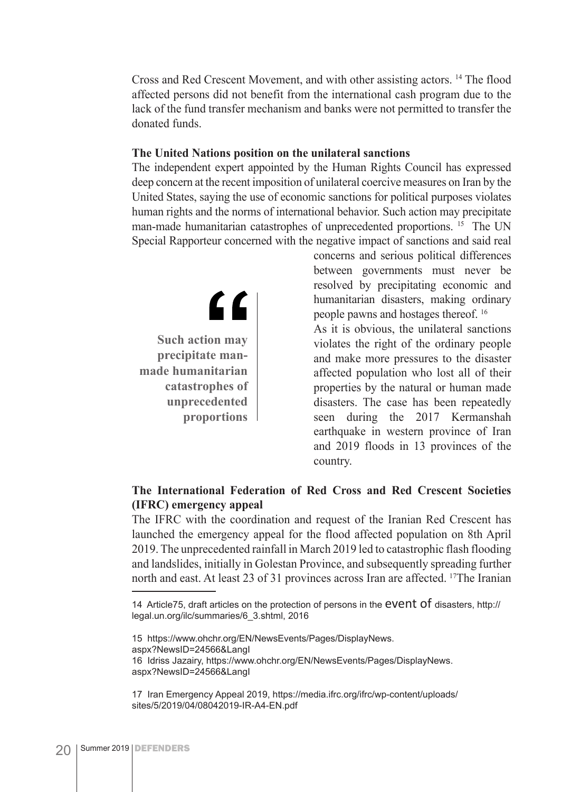Cross and Red Crescent Movement, and with other assisting actors. 14 The flood affected persons did not benefit from the international cash program due to the lack of the fund transfer mechanism and banks were not permitted to transfer the donated funds.

#### **The United Nations position on the unilateral sanctions**

The independent expert appointed by the Human Rights Council has expressed deep concern at the recent imposition of unilateral coercive measures on Iran by the United States, saying the use of economic sanctions for political purposes violates human rights and the norms of international behavior. Such action may precipitate man-made humanitarian catastrophes of unprecedented proportions. <sup>15</sup> The UN Special Rapporteur concerned with the negative impact of sanctions and said real

 $\epsilon$ **Such action may precipitate manmade humanitarian catastrophes of unprecedented proportions**

concerns and serious political differences between governments must never be resolved by precipitating economic and humanitarian disasters, making ordinary people pawns and hostages thereof. 16 As it is obvious, the unilateral sanctions violates the right of the ordinary people and make more pressures to the disaster affected population who lost all of their properties by the natural or human made disasters. The case has been repeatedly seen during the 2017 Kermanshah earthquake in western province of Iran and 2019 floods in 13 provinces of the country.

#### **The International Federation of Red Cross and Red Crescent Societies (IFRC) emergency appeal**

The IFRC with the coordination and request of the Iranian Red Crescent has launched the emergency appeal for the flood affected population on 8th April 2019. The unprecedented rainfall in March 2019 led to catastrophic flash flooding and landslides, initially in Golestan Province, and subsequently spreading further north and east. At least 23 of 31 provinces across Iran are affected. 17The Iranian

15 https://www.ohchr.org/EN/NewsEvents/Pages/DisplayNews. aspx?NewsID=24566&LangI 16 Idriss Jazairy, https://www.ohchr.org/EN/NewsEvents/Pages/DisplayNews. aspx?NewsID=24566&LangI

<sup>14</sup> Article75, draft articles on the protection of persons in the **EVENT Of** disasters, http:// legal.un.org/ilc/summaries/6\_3.shtml, 2016

<sup>17</sup> Iran Emergency Appeal 2019, https://media.ifrc.org/ifrc/wp-content/uploads/ sites/5/2019/04/08042019-IR-A4-EN.pdf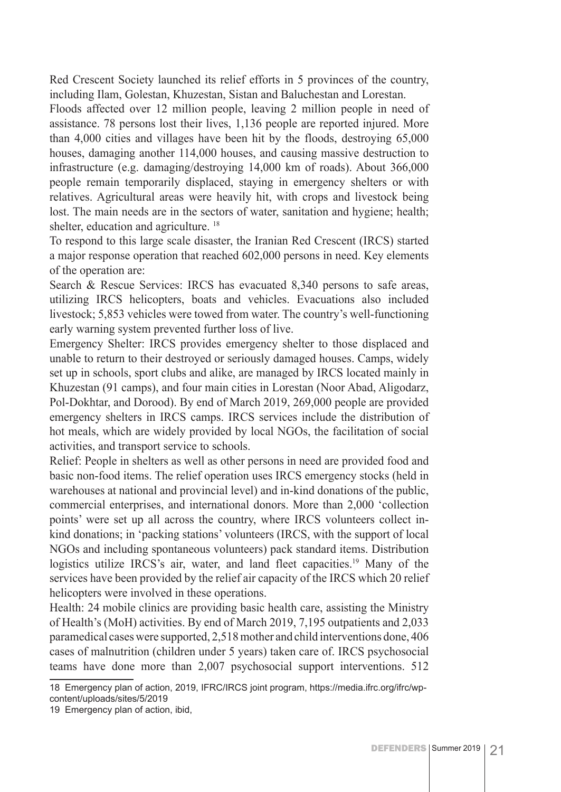Red Crescent Society launched its relief efforts in 5 provinces of the country, including Ilam, Golestan, Khuzestan, Sistan and Baluchestan and Lorestan.

Floods affected over 12 million people, leaving 2 million people in need of assistance. 78 persons lost their lives, 1,136 people are reported injured. More than 4,000 cities and villages have been hit by the floods, destroying 65,000 houses, damaging another 114,000 houses, and causing massive destruction to infrastructure (e.g. damaging/destroying 14,000 km of roads). About 366,000 people remain temporarily displaced, staying in emergency shelters or with relatives. Agricultural areas were heavily hit, with crops and livestock being lost. The main needs are in the sectors of water, sanitation and hygiene; health; shelter, education and agriculture.<sup>18</sup>

To respond to this large scale disaster, the Iranian Red Crescent (IRCS) started a major response operation that reached 602,000 persons in need. Key elements of the operation are:

Search & Rescue Services: IRCS has evacuated 8,340 persons to safe areas, utilizing IRCS helicopters, boats and vehicles. Evacuations also included livestock; 5,853 vehicles were towed from water. The country's well-functioning early warning system prevented further loss of live.

Emergency Shelter: IRCS provides emergency shelter to those displaced and unable to return to their destroyed or seriously damaged houses. Camps, widely set up in schools, sport clubs and alike, are managed by IRCS located mainly in Khuzestan (91 camps), and four main cities in Lorestan (Noor Abad, Aligodarz, Pol-Dokhtar, and Dorood). By end of March 2019, 269,000 people are provided emergency shelters in IRCS camps. IRCS services include the distribution of hot meals, which are widely provided by local NGOs, the facilitation of social activities, and transport service to schools.

Relief: People in shelters as well as other persons in need are provided food and basic non-food items. The relief operation uses IRCS emergency stocks (held in warehouses at national and provincial level) and in-kind donations of the public, commercial enterprises, and international donors. More than 2,000 'collection points' were set up all across the country, where IRCS volunteers collect inkind donations; in 'packing stations' volunteers (IRCS, with the support of local NGOs and including spontaneous volunteers) pack standard items. Distribution logistics utilize IRCS's air, water, and land fleet capacities.<sup>19</sup> Many of the services have been provided by the relief air capacity of the IRCS which 20 relief helicopters were involved in these operations.

Health: 24 mobile clinics are providing basic health care, assisting the Ministry of Health's (MoH) activities. By end of March 2019, 7,195 outpatients and 2,033 paramedical cases were supported, 2,518 mother and child interventions done, 406 cases of malnutrition (children under 5 years) taken care of. IRCS psychosocial teams have done more than 2,007 psychosocial support interventions. 512

<sup>18</sup> Emergency plan of action, 2019, IFRC/IRCS joint program, https://media.ifrc.org/ifrc/wpcontent/uploads/sites/5/2019

<sup>19</sup> Emergency plan of action, ibid,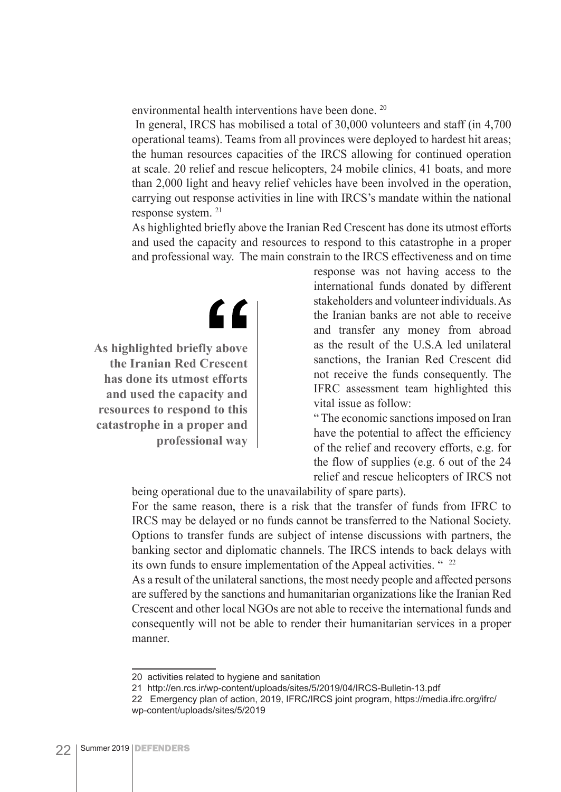environmental health interventions have been done. 20

 In general, IRCS has mobilised a total of 30,000 volunteers and staff (in 4,700 operational teams). Teams from all provinces were deployed to hardest hit areas; the human resources capacities of the IRCS allowing for continued operation at scale. 20 relief and rescue helicopters, 24 mobile clinics, 41 boats, and more than 2,000 light and heavy relief vehicles have been involved in the operation, carrying out response activities in line with IRCS's mandate within the national response system. 21

As highlighted briefly above the Iranian Red Crescent has done its utmost efforts and used the capacity and resources to respond to this catastrophe in a proper and professional way. The main constrain to the IRCS effectiveness and on time

"

**As highlighted briefly above the Iranian Red Crescent has done its utmost efforts and used the capacity and resources to respond to this catastrophe in a proper and professional way** response was not having access to the international funds donated by different stakeholders and volunteer individuals. As the Iranian banks are not able to receive and transfer any money from abroad as the result of the U.S.A led unilateral sanctions, the Iranian Red Crescent did not receive the funds consequently. The IFRC assessment team highlighted this vital issue as follow:

" The economic sanctions imposed on Iran have the potential to affect the efficiency of the relief and recovery efforts, e.g. for the flow of supplies (e.g. 6 out of the 24 relief and rescue helicopters of IRCS not

being operational due to the unavailability of spare parts).

For the same reason, there is a risk that the transfer of funds from IFRC to IRCS may be delayed or no funds cannot be transferred to the National Society. Options to transfer funds are subject of intense discussions with partners, the banking sector and diplomatic channels. The IRCS intends to back delays with its own funds to ensure implementation of the Appeal activities. "<sup>22</sup>

As a result of the unilateral sanctions, the most needy people and affected persons are suffered by the sanctions and humanitarian organizations like the Iranian Red Crescent and other local NGOs are not able to receive the international funds and consequently will not be able to render their humanitarian services in a proper manner.

<sup>20</sup> activities related to hygiene and sanitation

<sup>21</sup> http://en.rcs.ir/wp-content/uploads/sites/5/2019/04/IRCS-Bulletin-13.pdf

<sup>22</sup> Emergency plan of action, 2019, IFRC/IRCS joint program, https://media.ifrc.org/ifrc/ wp-content/uploads/sites/5/2019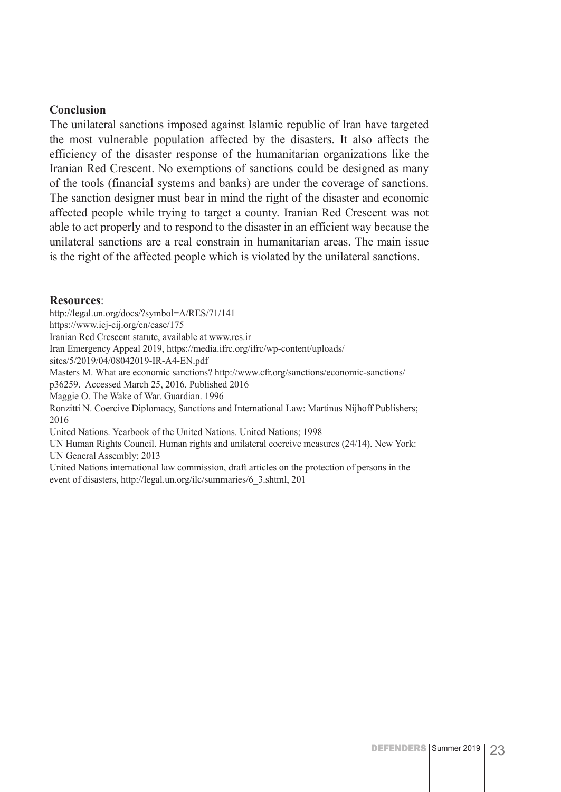#### **Conclusion**

The unilateral sanctions imposed against Islamic republic of Iran have targeted the most vulnerable population affected by the disasters. It also affects the efficiency of the disaster response of the humanitarian organizations like the Iranian Red Crescent. No exemptions of sanctions could be designed as many of the tools (financial systems and banks) are under the coverage of sanctions. The sanction designer must bear in mind the right of the disaster and economic affected people while trying to target a county. Iranian Red Crescent was not able to act properly and to respond to the disaster in an efficient way because the unilateral sanctions are a real constrain in humanitarian areas. The main issue is the right of the affected people which is violated by the unilateral sanctions.

#### **Resources**:

http://legal.un.org/docs/?symbol=A/RES/71/141 https://www.icj-cij.org/en/case/175 Iranian Red Crescent statute, available at www.rcs.ir Iran Emergency Appeal 2019, https://media.ifrc.org/ifrc/wp-content/uploads/ sites/5/2019/04/08042019-IR-A4-EN.pdf Masters M. What are economic sanctions? http://www.cfr.org/sanctions/economic-sanctions/ p36259. Accessed March 25, 2016. Published 2016 Maggie O. The Wake of War. Guardian. 1996 Ronzitti N. Coercive Diplomacy, Sanctions and International Law: Martinus Nijhoff Publishers; 2016 United Nations. Yearbook of the United Nations. United Nations; 1998 UN Human Rights Council. Human rights and unilateral coercive measures (24/14). New York: UN General Assembly; 2013 United Nations international law commission, draft articles on the protection of persons in the event of disasters, http://legal.un.org/ilc/summaries/6\_3.shtml, 201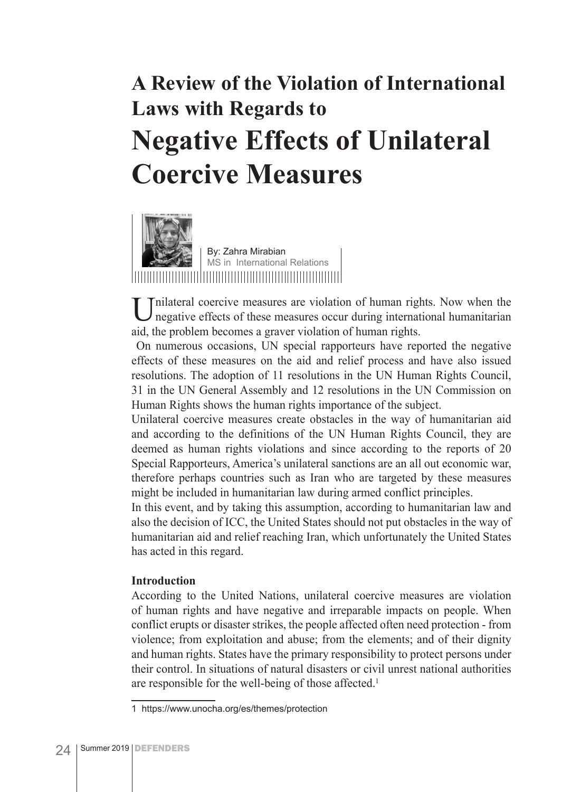### **A Review of the Violation of International Laws with Regards to Negative Effects of Unilateral Coercive Measures**



Unilateral coercive measures are violation of human rights. Now when the negative effects of these measures occur during international humanitarian aid, the problem becomes a graver violation of human rights.

 On numerous occasions, UN special rapporteurs have reported the negative effects of these measures on the aid and relief process and have also issued resolutions. The adoption of 11 resolutions in the UN Human Rights Council, 31 in the UN General Assembly and 12 resolutions in the UN Commission on Human Rights shows the human rights importance of the subject.

Unilateral coercive measures create obstacles in the way of humanitarian aid and according to the definitions of the UN Human Rights Council, they are deemed as human rights violations and since according to the reports of 20 Special Rapporteurs, America's unilateral sanctions are an all out economic war, therefore perhaps countries such as Iran who are targeted by these measures might be included in humanitarian law during armed conflict principles.

In this event, and by taking this assumption, according to humanitarian law and also the decision of ICC, the United States should not put obstacles in the way of humanitarian aid and relief reaching Iran, which unfortunately the United States has acted in this regard.

#### **Introduction**

According to the United Nations, unilateral coercive measures are violation of human rights and have negative and irreparable impacts on people. When conflict erupts or disaster strikes, the people affected often need protection - from violence; from exploitation and abuse; from the elements; and of their dignity and human rights. States have the primary responsibility to protect persons under their control. In situations of natural disasters or civil unrest national authorities are responsible for the well-being of those affected.<sup>1</sup>

<sup>1</sup> https://www.unocha.org/es/themes/protection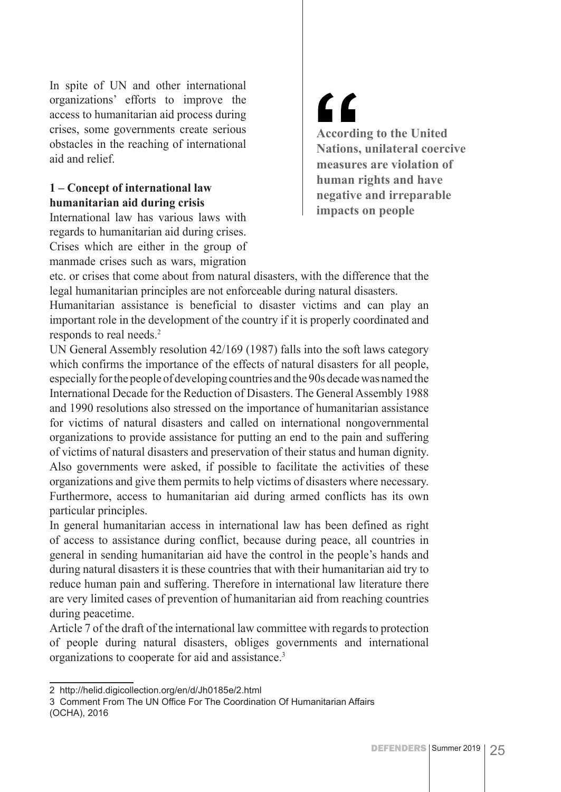In spite of UN and other international organizations' efforts to improve the access to humanitarian aid process during crises, some governments create serious obstacles in the reaching of international aid and relief.

#### **1 – Concept of international law humanitarian aid during crisis**

International law has various laws with regards to humanitarian aid during crises. Crises which are either in the group of manmade crises such as wars, migration

# $\epsilon$

**According to the United Nations, unilateral coercive measures are violation of human rights and have negative and irreparable impacts on people**

etc. or crises that come about from natural disasters, with the difference that the legal humanitarian principles are not enforceable during natural disasters.

Humanitarian assistance is beneficial to disaster victims and can play an important role in the development of the country if it is properly coordinated and responds to real needs.<sup>2</sup>

UN General Assembly resolution 42/169 (1987) falls into the soft laws category which confirms the importance of the effects of natural disasters for all people, especially for the people of developing countries and the 90s decade was named the International Decade for the Reduction of Disasters. The General Assembly 1988 and 1990 resolutions also stressed on the importance of humanitarian assistance for victims of natural disasters and called on international nongovernmental organizations to provide assistance for putting an end to the pain and suffering of victims of natural disasters and preservation of their status and human dignity. Also governments were asked, if possible to facilitate the activities of these organizations and give them permits to help victims of disasters where necessary. Furthermore, access to humanitarian aid during armed conflicts has its own particular principles.

In general humanitarian access in international law has been defined as right of access to assistance during conflict, because during peace, all countries in general in sending humanitarian aid have the control in the people's hands and during natural disasters it is these countries that with their humanitarian aid try to reduce human pain and suffering. Therefore in international law literature there are very limited cases of prevention of humanitarian aid from reaching countries during peacetime.

Article 7 of the draft of the international law committee with regards to protection of people during natural disasters, obliges governments and international organizations to cooperate for aid and assistance.3

<sup>2</sup> http://helid.digicollection.org/en/d/Jh0185e/2.html

<sup>3</sup> Comment From The UN Office For The Coordination Of Humanitarian Affairs (OCHA), 2016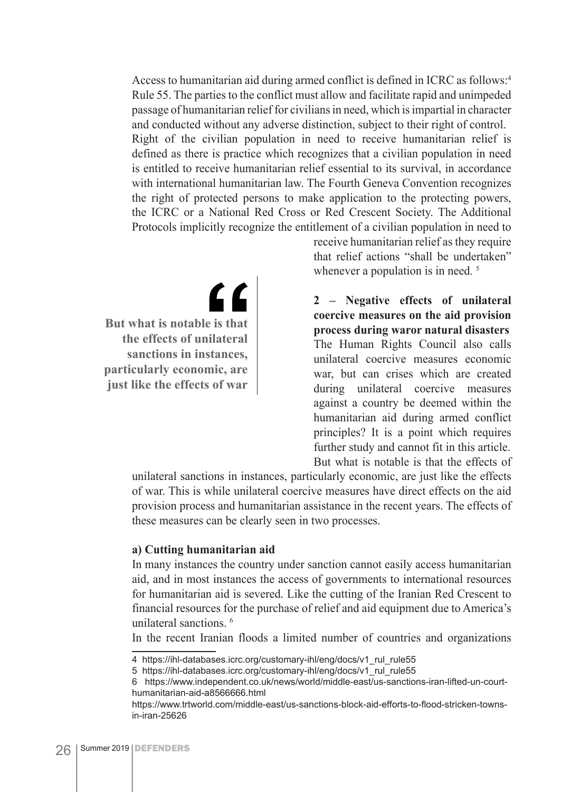Access to humanitarian aid during armed conflict is defined in ICRC as follows:4 Rule 55. The parties to the conflict must allow and facilitate rapid and unimpeded passage of humanitarian relief for civilians in need, which is impartial in character and conducted without any adverse distinction, subject to their right of control. Right of the civilian population in need to receive humanitarian relief is defined as there is practice which recognizes that a civilian population in need is entitled to receive humanitarian relief essential to its survival, in accordance with international humanitarian law. The Fourth Geneva Convention recognizes the right of protected persons to make application to the protecting powers, the ICRC or a National Red Cross or Red Crescent Society. The Additional Protocols implicitly recognize the entitlement of a civilian population in need to

 $\epsilon$ **But what is notable is that the effects of unilateral sanctions in instances, particularly economic, are just like the effects of war**

receive humanitarian relief as they require that relief actions "shall be undertaken" whenever a population is in need.<sup>5</sup>

**2 – Negative effects of unilateral coercive measures on the aid provision process during waror natural disasters** The Human Rights Council also calls unilateral coercive measures economic war, but can crises which are created during unilateral coercive measures against a country be deemed within the humanitarian aid during armed conflict principles? It is a point which requires further study and cannot fit in this article. But what is notable is that the effects of

unilateral sanctions in instances, particularly economic, are just like the effects of war. This is while unilateral coercive measures have direct effects on the aid provision process and humanitarian assistance in the recent years. The effects of these measures can be clearly seen in two processes.

#### **a) Cutting humanitarian aid**

In many instances the country under sanction cannot easily access humanitarian aid, and in most instances the access of governments to international resources for humanitarian aid is severed. Like the cutting of the Iranian Red Crescent to financial resources for the purchase of relief and aid equipment due to America's unilateral sanctions. 6

In the recent Iranian floods a limited number of countries and organizations

<sup>4</sup> https://ihl-databases.icrc.org/customary-ihl/eng/docs/v1 rul\_rule55

<sup>5</sup> https://ihl-databases.icrc.org/customary-ihl/eng/docs/v1\_rul\_rule55

<sup>6</sup> https://www.independent.co.uk/news/world/middle-east/us-sanctions-iran-lifted-un-courthumanitarian-aid-a8566666.html

https://www.trtworld.com/middle-east/us-sanctions-block-aid-efforts-to-flood-stricken-townsin-iran-25626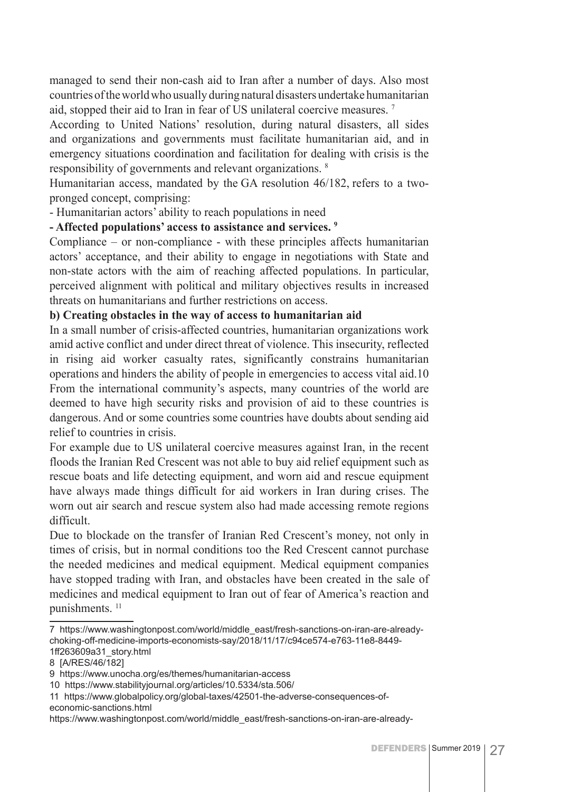managed to send their non-cash aid to Iran after a number of days. Also most countries of the world who usually during natural disasters undertake humanitarian aid, stopped their aid to Iran in fear of US unilateral coercive measures. 7

According to United Nations' resolution, during natural disasters, all sides and organizations and governments must facilitate humanitarian aid, and in emergency situations coordination and facilitation for dealing with crisis is the responsibility of governments and relevant organizations. 8

Humanitarian access, mandated by the GA resolution 46/182, refers to a twopronged concept, comprising:

- Humanitarian actors' ability to reach populations in need

#### **- Affected populations' access to assistance and services. 9**

Compliance – or non-compliance - with these principles affects humanitarian actors' acceptance, and their ability to engage in negotiations with State and non-state actors with the aim of reaching affected populations. In particular, perceived alignment with political and military objectives results in increased threats on humanitarians and further restrictions on access.

#### **b) Creating obstacles in the way of access to humanitarian aid**

In a small number of crisis-affected countries, humanitarian organizations work amid active conflict and under direct threat of violence. This insecurity, reflected in rising aid worker casualty rates, significantly constrains humanitarian operations and hinders the ability of people in emergencies to access vital aid.10 From the international community's aspects, many countries of the world are deemed to have high security risks and provision of aid to these countries is dangerous. And or some countries some countries have doubts about sending aid relief to countries in crisis.

For example due to US unilateral coercive measures against Iran, in the recent floods the Iranian Red Crescent was not able to buy aid relief equipment such as rescue boats and life detecting equipment, and worn aid and rescue equipment have always made things difficult for aid workers in Iran during crises. The worn out air search and rescue system also had made accessing remote regions difficult.

Due to blockade on the transfer of Iranian Red Crescent's money, not only in times of crisis, but in normal conditions too the Red Crescent cannot purchase the needed medicines and medical equipment. Medical equipment companies have stopped trading with Iran, and obstacles have been created in the sale of medicines and medical equipment to Iran out of fear of America's reaction and punishments.<sup>11</sup>

economic-sanctions.html

<sup>7</sup> https://www.washingtonpost.com/world/middle\_east/fresh-sanctions-on-iran-are-alreadychoking-off-medicine-imports-economists-say/2018/11/17/c94ce574-e763-11e8-8449- 1ff263609a31\_story.html

<sup>8 [</sup>A/RES/46/182]

<sup>9</sup> https://www.unocha.org/es/themes/humanitarian-access

<sup>10</sup> https://www.stabilityjournal.org/articles/10.5334/sta.506/

<sup>11</sup> https://www.globalpolicy.org/global-taxes/42501-the-adverse-consequences-of-

https://www.washingtonpost.com/world/middle\_east/fresh-sanctions-on-iran-are-already-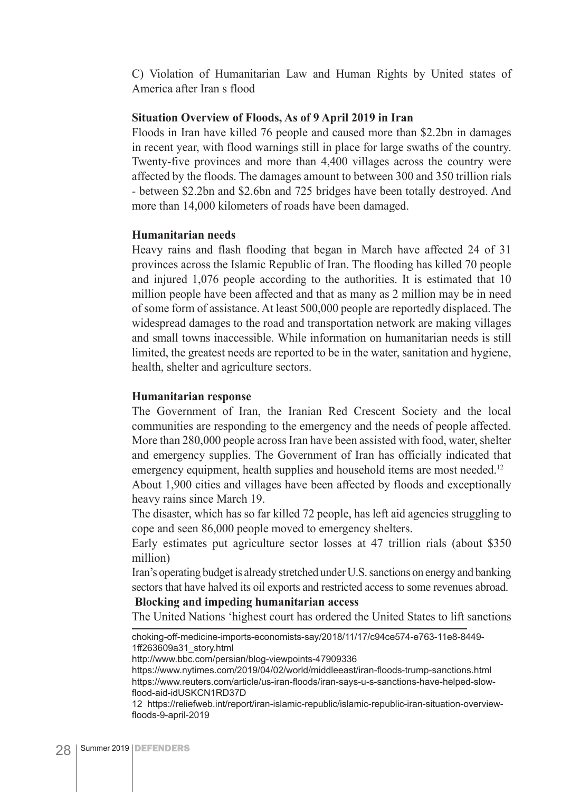C) Violation of Humanitarian Law and Human Rights by United states of America after Iran s flood

#### **Situation Overview of Floods, As of 9 April 2019 in Iran**

Floods in Iran have killed 76 people and caused more than \$2.2bn in damages in recent year, with flood warnings still in place for large swaths of the country. Twenty-five provinces and more than 4,400 villages across the country were affected by the floods. The damages amount to between 300 and 350 trillion rials - between \$2.2bn and \$2.6bn and 725 bridges have been totally destroyed. And more than 14,000 kilometers of roads have been damaged.

#### **Humanitarian needs**

Heavy rains and flash flooding that began in March have affected 24 of 31 provinces across the Islamic Republic of Iran. The flooding has killed 70 people and injured 1,076 people according to the authorities. It is estimated that 10 million people have been affected and that as many as 2 million may be in need of some form of assistance. At least 500,000 people are reportedly displaced. The widespread damages to the road and transportation network are making villages and small towns inaccessible. While information on humanitarian needs is still limited, the greatest needs are reported to be in the water, sanitation and hygiene, health, shelter and agriculture sectors.

#### **Humanitarian response**

The Government of Iran, the Iranian Red Crescent Society and the local communities are responding to the emergency and the needs of people affected. More than 280,000 people across Iran have been assisted with food, water, shelter and emergency supplies. The Government of Iran has officially indicated that emergency equipment, health supplies and household items are most needed.<sup>12</sup>

About 1,900 cities and villages have been affected by floods and exceptionally heavy rains since March 19.

The disaster, which has so far killed 72 people, has left aid agencies struggling to cope and seen 86,000 people moved to emergency shelters.

Early estimates put agriculture sector losses at 47 trillion rials (about \$350 million)

Iran's operating budget is already stretched under U.S. sanctions on energy and banking sectors that have halved its oil exports and restricted access to some revenues abroad.

#### **Blocking and impeding humanitarian access**

The United Nations 'highest court has ordered the United States to lift sanctions

choking-off-medicine-imports-economists-say/2018/11/17/c94ce574-e763-11e8-8449- 1ff263609a31\_story.html

http://www.bbc.com/persian/blog-viewpoints-47909336

https://www.nytimes.com/2019/04/02/world/middleeast/iran-floods-trump-sanctions.html https://www.reuters.com/article/us-iran-floods/iran-says-u-s-sanctions-have-helped-slowflood-aid-idUSKCN1RD37D

12 https://reliefweb.int/report/iran-islamic-republic/islamic-republic-iran-situation-overviewfloods-9-april-2019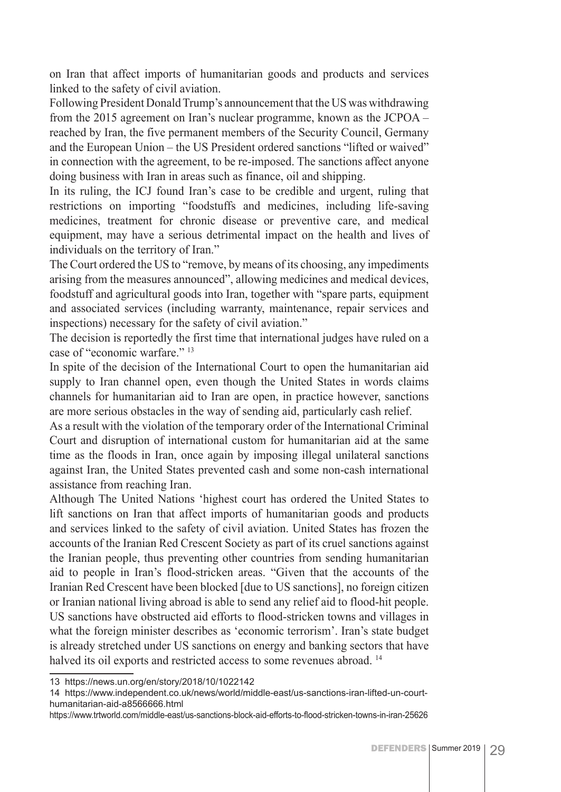on Iran that affect imports of humanitarian goods and products and services linked to the safety of civil aviation.

Following President Donald Trump's announcement that the US was withdrawing from the 2015 agreement on Iran's nuclear programme, known as the JCPOA – reached by Iran, the five permanent members of the Security Council, Germany and the European Union – the US President ordered sanctions "lifted or waived" in connection with the agreement, to be re-imposed. The sanctions affect anyone doing business with Iran in areas such as finance, oil and shipping.

In its ruling, the ICJ found Iran's case to be credible and urgent, ruling that restrictions on importing "foodstuffs and medicines, including life-saving medicines, treatment for chronic disease or preventive care, and medical equipment, may have a serious detrimental impact on the health and lives of individuals on the territory of Iran."

The Court ordered the US to "remove, by means of its choosing, any impediments arising from the measures announced", allowing medicines and medical devices, foodstuff and agricultural goods into Iran, together with "spare parts, equipment and associated services (including warranty, maintenance, repair services and inspections) necessary for the safety of civil aviation."

The decision is reportedly the first time that international judges have ruled on a case of "economic warfare." 13

In spite of the decision of the International Court to open the humanitarian aid supply to Iran channel open, even though the United States in words claims channels for humanitarian aid to Iran are open, in practice however, sanctions are more serious obstacles in the way of sending aid, particularly cash relief.

As a result with the violation of the temporary order of the International Criminal Court and disruption of international custom for humanitarian aid at the same time as the floods in Iran, once again by imposing illegal unilateral sanctions against Iran, the United States prevented cash and some non-cash international assistance from reaching Iran.

Although The United Nations 'highest court has ordered the United States to lift sanctions on Iran that affect imports of humanitarian goods and products and services linked to the safety of civil aviation. United States has frozen the accounts of the Iranian Red Crescent Society as part of its cruel sanctions against the Iranian people, thus preventing other countries from sending humanitarian aid to people in Iran's flood-stricken areas. "Given that the accounts of the Iranian Red Crescent have been blocked [due to US sanctions], no foreign citizen or Iranian national living abroad is able to send any relief aid to flood-hit people. US sanctions have obstructed aid efforts to flood-stricken towns and villages in what the foreign minister describes as 'economic terrorism'. Iran's state budget is already stretched under US sanctions on energy and banking sectors that have halved its oil exports and restricted access to some revenues abroad. 14

<sup>13</sup> https://news.un.org/en/story/2018/10/1022142

<sup>14</sup> https://www.independent.co.uk/news/world/middle-east/us-sanctions-iran-lifted-un-courthumanitarian-aid-a8566666.html

https://www.trtworld.com/middle-east/us-sanctions-block-aid-efforts-to-flood-stricken-towns-in-iran-25626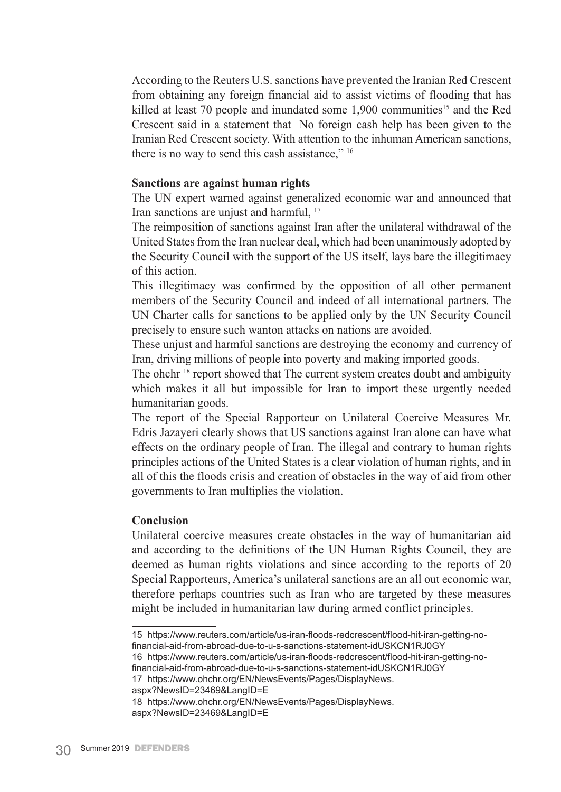According to the Reuters U.S. sanctions have prevented the Iranian Red Crescent from obtaining any foreign financial aid to assist victims of flooding that has killed at least 70 people and inundated some 1,900 communities<sup>15</sup> and the Red Crescent said in a statement that No foreign cash help has been given to the Iranian Red Crescent society. With attention to the inhuman American sanctions, there is no way to send this cash assistance," 16

#### **Sanctions are against human rights**

The UN expert warned against generalized economic war and announced that Iran sanctions are unjust and harmful, <sup>17</sup>

The reimposition of sanctions against Iran after the unilateral withdrawal of the United States from the Iran nuclear deal, which had been unanimously adopted by the Security Council with the support of the US itself, lays bare the illegitimacy of this action.

This illegitimacy was confirmed by the opposition of all other permanent members of the Security Council and indeed of all international partners. The UN Charter calls for sanctions to be applied only by the UN Security Council precisely to ensure such wanton attacks on nations are avoided.

These unjust and harmful sanctions are destroying the economy and currency of Iran, driving millions of people into poverty and making imported goods.

The ohchr<sup>18</sup> report showed that The current system creates doubt and ambiguity which makes it all but impossible for Iran to import these urgently needed humanitarian goods.

The report of the Special Rapporteur on Unilateral Coercive Measures Mr. Edris Jazayeri clearly shows that US sanctions against Iran alone can have what effects on the ordinary people of Iran. The illegal and contrary to human rights principles actions of the United States is a clear violation of human rights, and in all of this the floods crisis and creation of obstacles in the way of aid from other governments to Iran multiplies the violation.

#### **Conclusion**

Unilateral coercive measures create obstacles in the way of humanitarian aid and according to the definitions of the UN Human Rights Council, they are deemed as human rights violations and since according to the reports of 20 Special Rapporteurs, America's unilateral sanctions are an all out economic war, therefore perhaps countries such as Iran who are targeted by these measures might be included in humanitarian law during armed conflict principles.

15 https://www.reuters.com/article/us-iran-floods-redcrescent/flood-hit-iran-getting-nofinancial-aid-from-abroad-due-to-u-s-sanctions-statement-idUSKCN1RJ0GY 16 https://www.reuters.com/article/us-iran-floods-redcrescent/flood-hit-iran-getting-no-

financial-aid-from-abroad-due-to-u-s-sanctions-statement-idUSKCN1RJ0GY

17 https://www.ohchr.org/EN/NewsEvents/Pages/DisplayNews.

aspx?NewsID=23469&LangID=E

<sup>18</sup> https://www.ohchr.org/EN/NewsEvents/Pages/DisplayNews. aspx?NewsID=23469&LangID=E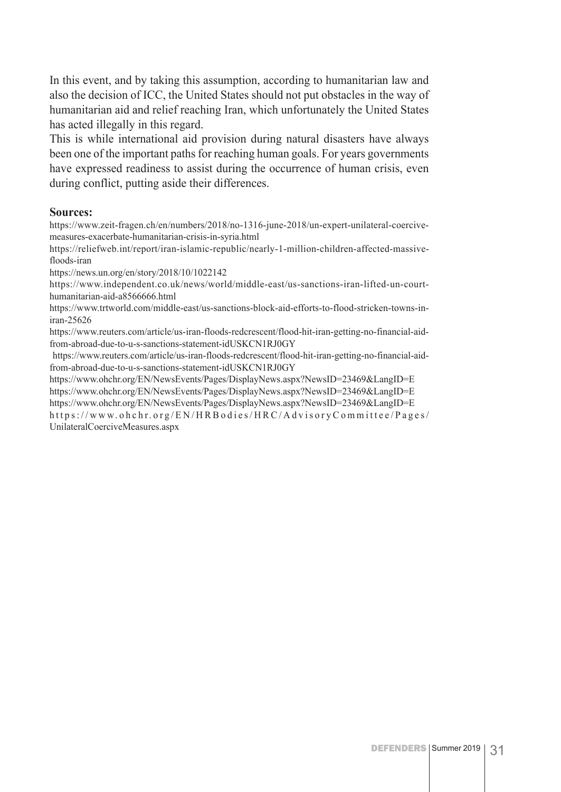In this event, and by taking this assumption, according to humanitarian law and also the decision of ICC, the United States should not put obstacles in the way of humanitarian aid and relief reaching Iran, which unfortunately the United States has acted illegally in this regard.

This is while international aid provision during natural disasters have always been one of the important paths for reaching human goals. For years governments have expressed readiness to assist during the occurrence of human crisis, even during conflict, putting aside their differences.

#### **Sources:**

https://www.zeit-fragen.ch/en/numbers/2018/no-1316-june-2018/un-expert-unilateral-coercivemeasures-exacerbate-humanitarian-crisis-in-syria.html

https://reliefweb.int/report/iran-islamic-republic/nearly-1-million-children-affected-massivefloods-iran

https://news.un.org/en/story/2018/10/1022142

https://www.independent.co.uk/news/world/middle-east/us-sanctions-iran-lifted-un-courthumanitarian-aid-a8566666.html

https://www.trtworld.com/middle-east/us-sanctions-block-aid-efforts-to-flood-stricken-towns-iniran-25626

https://www.reuters.com/article/us-iran-floods-redcrescent/flood-hit-iran-getting-no-financial-aidfrom-abroad-due-to-u-s-sanctions-statement-idUSKCN1RJ0GY

 https://www.reuters.com/article/us-iran-floods-redcrescent/flood-hit-iran-getting-no-financial-aidfrom-abroad-due-to-u-s-sanctions-statement-idUSKCN1RJ0GY

https://www.ohchr.org/EN/NewsEvents/Pages/DisplayNews.aspx?NewsID=23469&LangID=E https://www.ohchr.org/EN/NewsEvents/Pages/DisplayNews.aspx?NewsID=23469&LangID=E https://www.ohchr.org/EN/NewsEvents/Pages/DisplayNews.aspx?NewsID=23469&LangID=E https://www.ohchr.org/EN/HRBodies/HRC/AdvisoryCommittee/Pages/ UnilateralCoerciveMeasures.aspx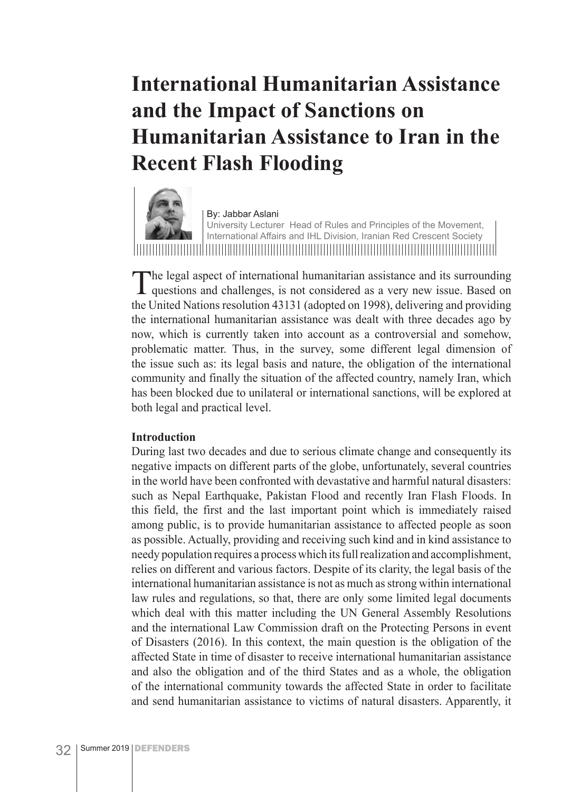### **International Humanitarian Assistance and the Impact of Sanctions on Humanitarian Assistance to Iran in the Recent Flash Flooding**



By: Jabbar Aslani

University Lecturer Head of Rules and Principles of the Movement, International Affairs and IHL Division, Iranian Red Crescent Society

The legal aspect of international humanitarian assistance and its surrounding questions and challenges, is not considered as a very new issue. Based on the United Nations resolution 43131 (adopted on 1998), delivering and providing the international humanitarian assistance was dealt with three decades ago by now, which is currently taken into account as a controversial and somehow, problematic matter. Thus, in the survey, some different legal dimension of the issue such as: its legal basis and nature, the obligation of the international community and finally the situation of the affected country, namely Iran, which has been blocked due to unilateral or international sanctions, will be explored at both legal and practical level.

#### **Introduction**

During last two decades and due to serious climate change and consequently its negative impacts on different parts of the globe, unfortunately, several countries in the world have been confronted with devastative and harmful natural disasters: such as Nepal Earthquake, Pakistan Flood and recently Iran Flash Floods. In this field, the first and the last important point which is immediately raised among public, is to provide humanitarian assistance to affected people as soon as possible. Actually, providing and receiving such kind and in kind assistance to needy population requires a process which its full realization and accomplishment, relies on different and various factors. Despite of its clarity, the legal basis of the international humanitarian assistance is not as much as strong within international law rules and regulations, so that, there are only some limited legal documents which deal with this matter including the UN General Assembly Resolutions and the international Law Commission draft on the Protecting Persons in event of Disasters (2016). In this context, the main question is the obligation of the affected State in time of disaster to receive international humanitarian assistance and also the obligation and of the third States and as a whole, the obligation of the international community towards the affected State in order to facilitate and send humanitarian assistance to victims of natural disasters. Apparently, it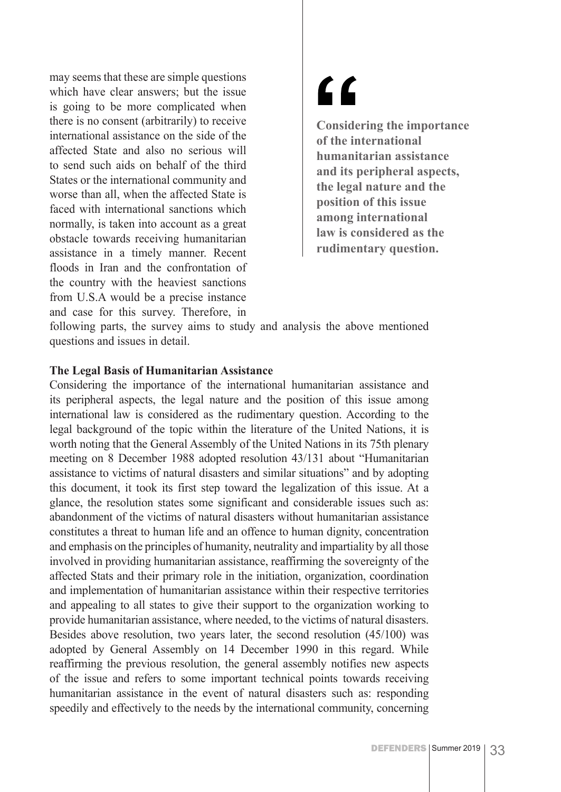may seems that these are simple questions which have clear answers; but the issue is going to be more complicated when there is no consent (arbitrarily) to receive international assistance on the side of the affected State and also no serious will to send such aids on behalf of the third States or the international community and worse than all, when the affected State is faced with international sanctions which normally, is taken into account as a great obstacle towards receiving humanitarian assistance in a timely manner. Recent floods in Iran and the confrontation of the country with the heaviest sanctions from U.S.A would be a precise instance and case for this survey. Therefore, in

# $\epsilon$

**Considering the importance of the international humanitarian assistance and its peripheral aspects, the legal nature and the position of this issue among international law is considered as the rudimentary question.**

following parts, the survey aims to study and analysis the above mentioned questions and issues in detail.

#### **The Legal Basis of Humanitarian Assistance**

Considering the importance of the international humanitarian assistance and its peripheral aspects, the legal nature and the position of this issue among international law is considered as the rudimentary question. According to the legal background of the topic within the literature of the United Nations, it is worth noting that the General Assembly of the United Nations in its 75th plenary meeting on 8 December 1988 adopted resolution 43/131 about "Humanitarian assistance to victims of natural disasters and similar situations" and by adopting this document, it took its first step toward the legalization of this issue. At a glance, the resolution states some significant and considerable issues such as: abandonment of the victims of natural disasters without humanitarian assistance constitutes a threat to human life and an offence to human dignity, concentration and emphasis on the principles of humanity, neutrality and impartiality by all those involved in providing humanitarian assistance, reaffirming the sovereignty of the affected Stats and their primary role in the initiation, organization, coordination and implementation of humanitarian assistance within their respective territories and appealing to all states to give their support to the organization working to provide humanitarian assistance, where needed, to the victims of natural disasters. Besides above resolution, two years later, the second resolution (45/100) was adopted by General Assembly on 14 December 1990 in this regard. While reaffirming the previous resolution, the general assembly notifies new aspects of the issue and refers to some important technical points towards receiving humanitarian assistance in the event of natural disasters such as: responding speedily and effectively to the needs by the international community, concerning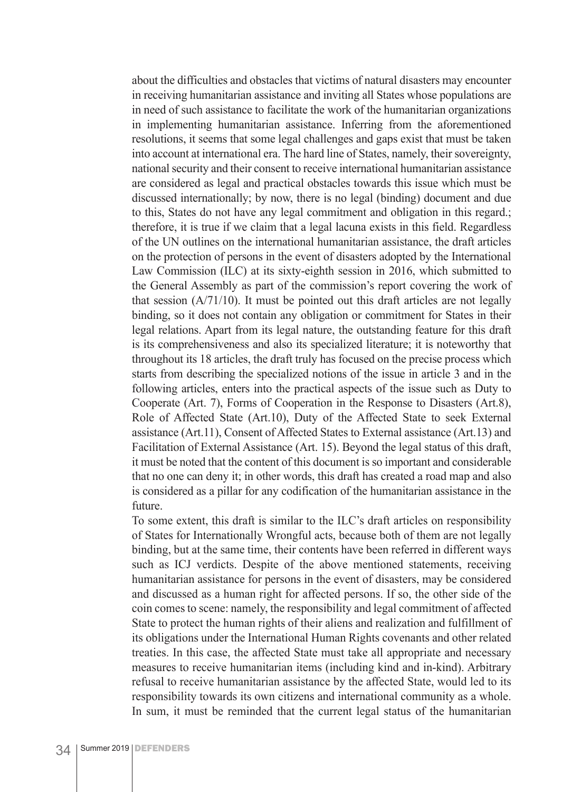about the difficulties and obstacles that victims of natural disasters may encounter in receiving humanitarian assistance and inviting all States whose populations are in need of such assistance to facilitate the work of the humanitarian organizations in implementing humanitarian assistance. Inferring from the aforementioned resolutions, it seems that some legal challenges and gaps exist that must be taken into account at international era. The hard line of States, namely, their sovereignty, national security and their consent to receive international humanitarian assistance are considered as legal and practical obstacles towards this issue which must be discussed internationally; by now, there is no legal (binding) document and due to this, States do not have any legal commitment and obligation in this regard.; therefore, it is true if we claim that a legal lacuna exists in this field. Regardless of the UN outlines on the international humanitarian assistance, the draft articles on the protection of persons in the event of disasters adopted by the International Law Commission (ILC) at its sixty-eighth session in 2016, which submitted to the General Assembly as part of the commission's report covering the work of that session (A/71/10). It must be pointed out this draft articles are not legally binding, so it does not contain any obligation or commitment for States in their legal relations. Apart from its legal nature, the outstanding feature for this draft is its comprehensiveness and also its specialized literature; it is noteworthy that throughout its 18 articles, the draft truly has focused on the precise process which starts from describing the specialized notions of the issue in article 3 and in the following articles, enters into the practical aspects of the issue such as Duty to Cooperate (Art. 7), Forms of Cooperation in the Response to Disasters (Art.8), Role of Affected State (Art.10), Duty of the Affected State to seek External assistance (Art.11), Consent of Affected States to External assistance (Art.13) and Facilitation of External Assistance (Art. 15). Beyond the legal status of this draft, it must be noted that the content of this document is so important and considerable that no one can deny it; in other words, this draft has created a road map and also is considered as a pillar for any codification of the humanitarian assistance in the future.

To some extent, this draft is similar to the ILC's draft articles on responsibility of States for Internationally Wrongful acts, because both of them are not legally binding, but at the same time, their contents have been referred in different ways such as ICJ verdicts. Despite of the above mentioned statements, receiving humanitarian assistance for persons in the event of disasters, may be considered and discussed as a human right for affected persons. If so, the other side of the coin comes to scene: namely, the responsibility and legal commitment of affected State to protect the human rights of their aliens and realization and fulfillment of its obligations under the International Human Rights covenants and other related treaties. In this case, the affected State must take all appropriate and necessary measures to receive humanitarian items (including kind and in-kind). Arbitrary refusal to receive humanitarian assistance by the affected State, would led to its responsibility towards its own citizens and international community as a whole. In sum, it must be reminded that the current legal status of the humanitarian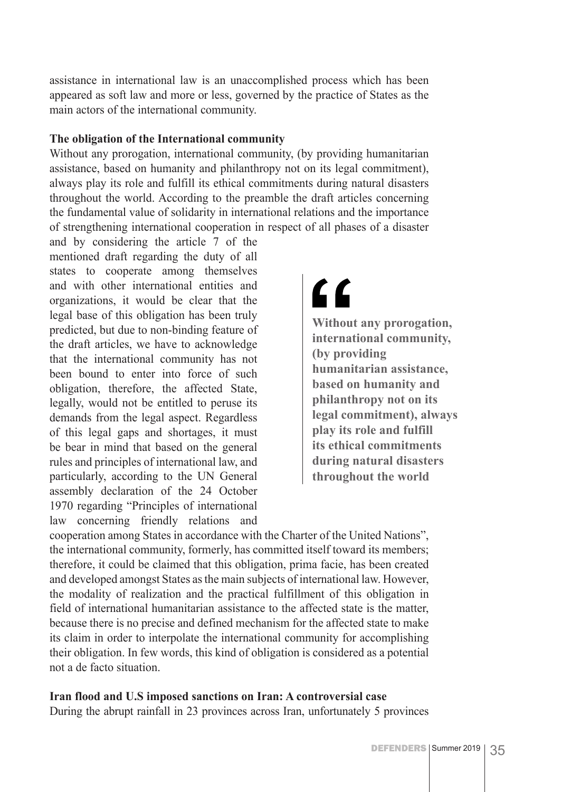assistance in international law is an unaccomplished process which has been appeared as soft law and more or less, governed by the practice of States as the main actors of the international community.

#### **The obligation of the International community**

Without any prorogation, international community, (by providing humanitarian assistance, based on humanity and philanthropy not on its legal commitment), always play its role and fulfill its ethical commitments during natural disasters throughout the world. According to the preamble the draft articles concerning the fundamental value of solidarity in international relations and the importance of strengthening international cooperation in respect of all phases of a disaster

and by considering the article 7 of the mentioned draft regarding the duty of all states to cooperate among themselves and with other international entities and organizations, it would be clear that the legal base of this obligation has been truly predicted, but due to non-binding feature of the draft articles, we have to acknowledge that the international community has not been bound to enter into force of such obligation, therefore, the affected State, legally, would not be entitled to peruse its demands from the legal aspect. Regardless of this legal gaps and shortages, it must be bear in mind that based on the general rules and principles of international law, and particularly, according to the UN General assembly declaration of the 24 October 1970 regarding "Principles of international law concerning friendly relations and

## $66$

**Without any prorogation, international community, (by providing humanitarian assistance, based on humanity and philanthropy not on its legal commitment), always play its role and fulfill its ethical commitments during natural disasters throughout the world**

cooperation among States in accordance with the Charter of the United Nations", the international community, formerly, has committed itself toward its members; therefore, it could be claimed that this obligation, prima facie, has been created and developed amongst States as the main subjects of international law. However, the modality of realization and the practical fulfillment of this obligation in field of international humanitarian assistance to the affected state is the matter, because there is no precise and defined mechanism for the affected state to make its claim in order to interpolate the international community for accomplishing their obligation. In few words, this kind of obligation is considered as a potential not a de facto situation.

#### **Iran flood and U.S imposed sanctions on Iran: A controversial case**

During the abrupt rainfall in 23 provinces across Iran, unfortunately 5 provinces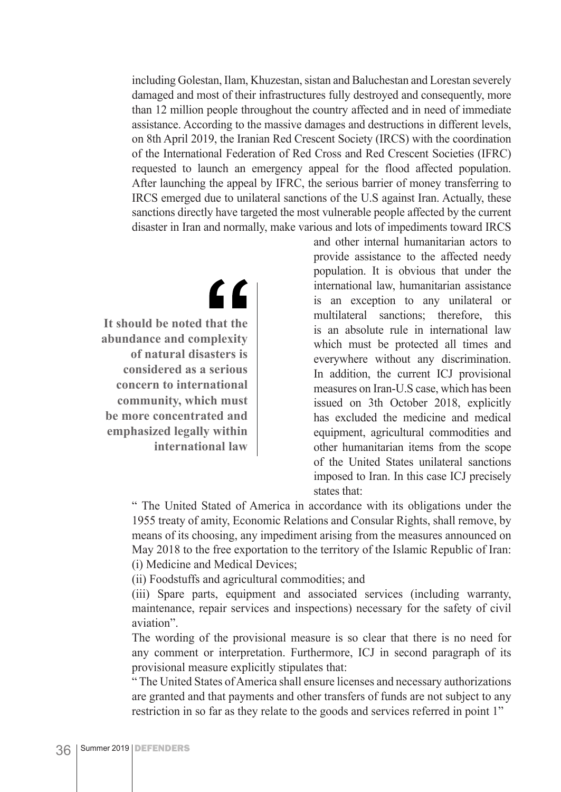including Golestan, Ilam, Khuzestan, sistan and Baluchestan and Lorestan severely damaged and most of their infrastructures fully destroyed and consequently, more than 12 million people throughout the country affected and in need of immediate assistance. According to the massive damages and destructions in different levels, on 8th April 2019, the Iranian Red Crescent Society (IRCS) with the coordination of the International Federation of Red Cross and Red Crescent Societies (IFRC) requested to launch an emergency appeal for the flood affected population. After launching the appeal by IFRC, the serious barrier of money transferring to IRCS emerged due to unilateral sanctions of the U.S against Iran. Actually, these sanctions directly have targeted the most vulnerable people affected by the current disaster in Iran and normally, make various and lots of impediments toward IRCS

> and other internal humanitarian actors to provide assistance to the affected needy population. It is obvious that under the international law, humanitarian assistance is an exception to any unilateral or multilateral sanctions; therefore, this is an absolute rule in international law which must be protected all times and everywhere without any discrimination. In addition, the current ICJ provisional measures on Iran-U.S case, which has been issued on 3th October 2018, explicitly has excluded the medicine and medical equipment, agricultural commodities and other humanitarian items from the scope of the United States unilateral sanctions imposed to Iran. In this case ICJ precisely states that:

" The United Stated of America in accordance with its obligations under the 1955 treaty of amity, Economic Relations and Consular Rights, shall remove, by means of its choosing, any impediment arising from the measures announced on May 2018 to the free exportation to the territory of the Islamic Republic of Iran: (i) Medicine and Medical Devices;

(ii) Foodstuffs and agricultural commodities; and

(iii) Spare parts, equipment and associated services (including warranty, maintenance, repair services and inspections) necessary for the safety of civil aviation".

The wording of the provisional measure is so clear that there is no need for any comment or interpretation. Furthermore, ICJ in second paragraph of its provisional measure explicitly stipulates that:

" The United States of America shall ensure licenses and necessary authorizations are granted and that payments and other transfers of funds are not subject to any restriction in so far as they relate to the goods and services referred in point 1"

**It should be noted that the abundance and complexity of natural disasters is considered as a serious concern to international community, which must be more concentrated and emphasized legally within international law**

 $\epsilon$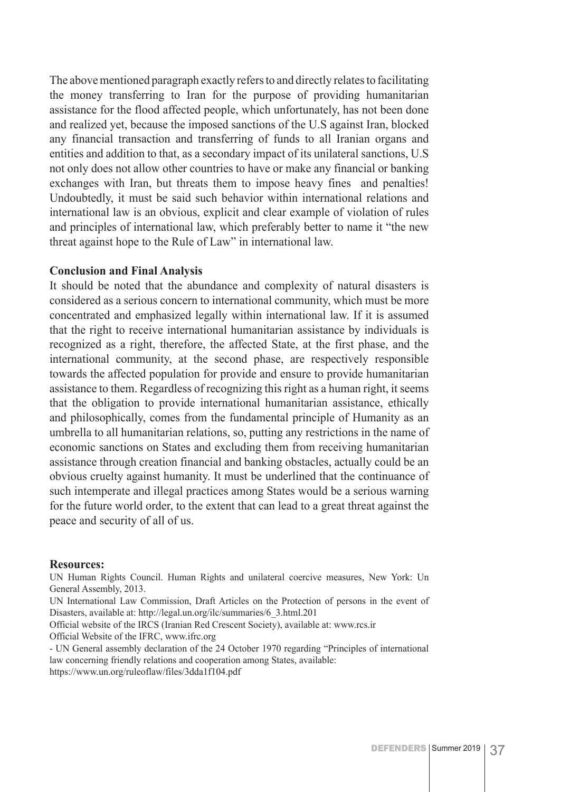The above mentioned paragraph exactly refers to and directly relates to facilitating the money transferring to Iran for the purpose of providing humanitarian assistance for the flood affected people, which unfortunately, has not been done and realized yet, because the imposed sanctions of the U.S against Iran, blocked any financial transaction and transferring of funds to all Iranian organs and entities and addition to that, as a secondary impact of its unilateral sanctions, U.S not only does not allow other countries to have or make any financial or banking exchanges with Iran, but threats them to impose heavy fines and penalties! Undoubtedly, it must be said such behavior within international relations and international law is an obvious, explicit and clear example of violation of rules and principles of international law, which preferably better to name it "the new threat against hope to the Rule of Law" in international law.

#### **Conclusion and Final Analysis**

It should be noted that the abundance and complexity of natural disasters is considered as a serious concern to international community, which must be more concentrated and emphasized legally within international law. If it is assumed that the right to receive international humanitarian assistance by individuals is recognized as a right, therefore, the affected State, at the first phase, and the international community, at the second phase, are respectively responsible towards the affected population for provide and ensure to provide humanitarian assistance to them. Regardless of recognizing this right as a human right, it seems that the obligation to provide international humanitarian assistance, ethically and philosophically, comes from the fundamental principle of Humanity as an umbrella to all humanitarian relations, so, putting any restrictions in the name of economic sanctions on States and excluding them from receiving humanitarian assistance through creation financial and banking obstacles, actually could be an obvious cruelty against humanity. It must be underlined that the continuance of such intemperate and illegal practices among States would be a serious warning for the future world order, to the extent that can lead to a great threat against the peace and security of all of us.

#### **Resources:**

UN Human Rights Council. Human Rights and unilateral coercive measures, New York: Un General Assembly, 2013.

UN International Law Commission, Draft Articles on the Protection of persons in the event of Disasters, available at: http://legal.un.org/ilc/summaries/6\_3.html.201

Official website of the IRCS (Iranian Red Crescent Society), available at: www.rcs.ir Official Website of the IFRC, www.ifrc.org

- UN General assembly declaration of the 24 October 1970 regarding "Principles of international law concerning friendly relations and cooperation among States, available: https://www.un.org/ruleoflaw/files/3dda1f104.pdf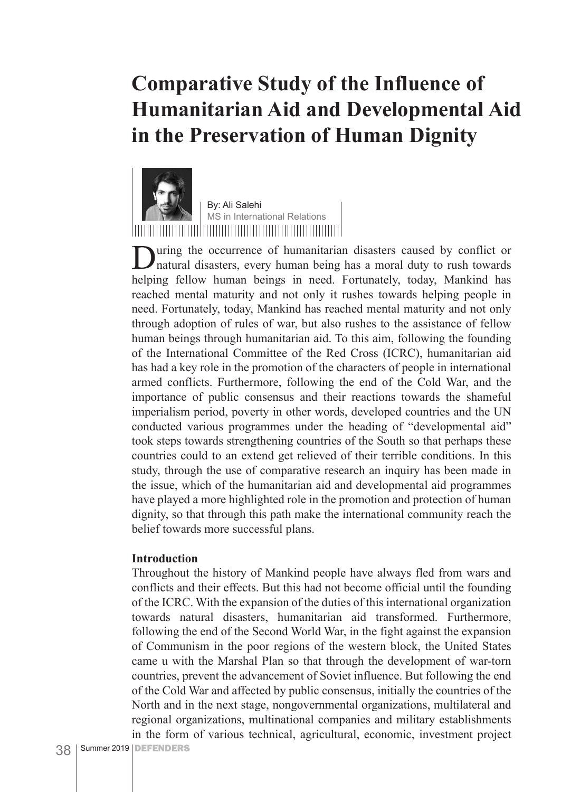### **Comparative Study of the Influence of Humanitarian Aid and Developmental Aid in the Preservation of Human Dignity**



By: Ali Salehi MS in International Relations

During the occurrence of humanitarian disasters caused by conflict or natural disasters, every human being has a moral duty to rush towards helping fellow human beings in need. Fortunately, today, Mankind has reached mental maturity and not only it rushes towards helping people in need. Fortunately, today, Mankind has reached mental maturity and not only through adoption of rules of war, but also rushes to the assistance of fellow human beings through humanitarian aid. To this aim, following the founding of the International Committee of the Red Cross (ICRC), humanitarian aid has had a key role in the promotion of the characters of people in international armed conflicts. Furthermore, following the end of the Cold War, and the importance of public consensus and their reactions towards the shameful imperialism period, poverty in other words, developed countries and the UN conducted various programmes under the heading of "developmental aid" took steps towards strengthening countries of the South so that perhaps these countries could to an extend get relieved of their terrible conditions. In this study, through the use of comparative research an inquiry has been made in the issue, which of the humanitarian aid and developmental aid programmes have played a more highlighted role in the promotion and protection of human dignity, so that through this path make the international community reach the belief towards more successful plans.

#### **Introduction**

Throughout the history of Mankind people have always fled from wars and conflicts and their effects. But this had not become official until the founding of the ICRC. With the expansion of the duties of this international organization towards natural disasters, humanitarian aid transformed. Furthermore, following the end of the Second World War, in the fight against the expansion of Communism in the poor regions of the western block, the United States came u with the Marshal Plan so that through the development of war-torn countries, prevent the advancement of Soviet influence. But following the end of the Cold War and affected by public consensus, initially the countries of the North and in the next stage, nongovernmental organizations, multilateral and regional organizations, multinational companies and military establishments in the form of various technical, agricultural, economic, investment project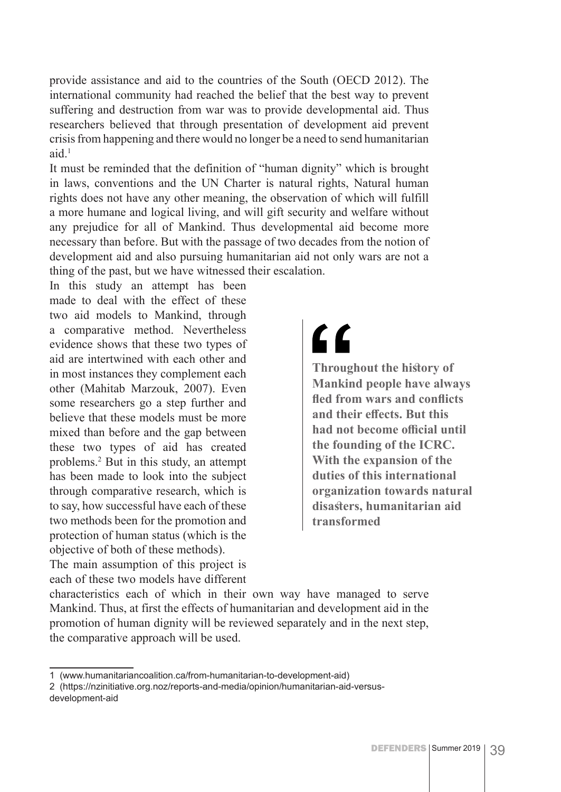provide assistance and aid to the countries of the South (OECD 2012). The international community had reached the belief that the best way to prevent suffering and destruction from war was to provide developmental aid. Thus researchers believed that through presentation of development aid prevent crisis from happening and there would no longer be a need to send humanitarian  $aid<sup>1</sup>$ 

It must be reminded that the definition of "human dignity" which is brought in laws, conventions and the UN Charter is natural rights, Natural human rights does not have any other meaning, the observation of which will fulfill a more humane and logical living, and will gift security and welfare without any prejudice for all of Mankind. Thus developmental aid become more necessary than before. But with the passage of two decades from the notion of development aid and also pursuing humanitarian aid not only wars are not a thing of the past, but we have witnessed their escalation.

In this study an attempt has been made to deal with the effect of these two aid models to Mankind, through a comparative method. Nevertheless evidence shows that these two types of aid are intertwined with each other and in most instances they complement each other (Mahitab Marzouk, 2007). Even some researchers go a step further and believe that these models must be more mixed than before and the gap between these two types of aid has created problems.2 But in this study, an attempt has been made to look into the subject through comparative research, which is to say, how successful have each of these two methods been for the promotion and protection of human status (which is the objective of both of these methods).

The main assumption of this project is each of these two models have different

## "

**Throughout the history of Mankind people have always fled from wars and conflicts and their effects. But this had not become official until the founding of the ICRC. With the expansion of the duties of this international organization towards natural disasters, humanitarian aid transformed**

characteristics each of which in their own way have managed to serve Mankind. Thus, at first the effects of humanitarian and development aid in the promotion of human dignity will be reviewed separately and in the next step, the comparative approach will be used.

<sup>1 (</sup>www.humanitariancoalition.ca/from-humanitarian-to-development-aid)

<sup>2 (</sup>https://nzinitiative.org.noz/reports-and-media/opinion/humanitarian-aid-versusdevelopment-aid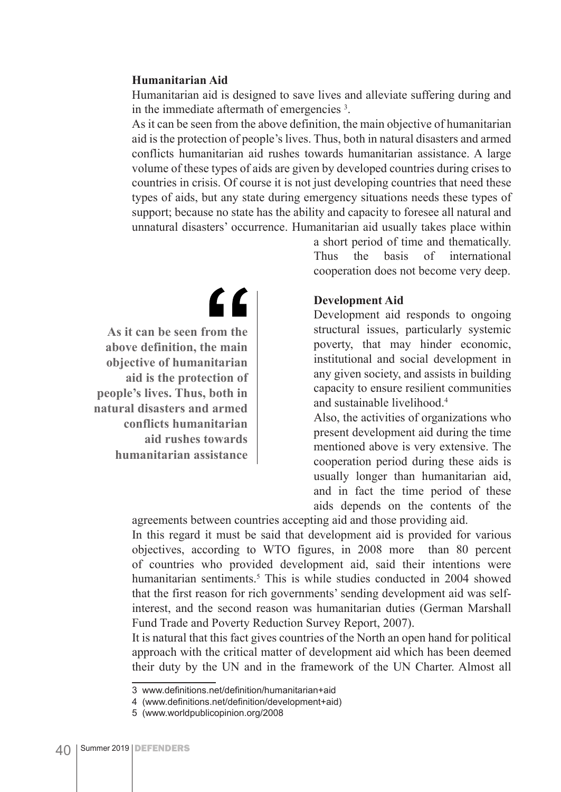#### **Humanitarian Aid**

Humanitarian aid is designed to save lives and alleviate suffering during and in the immediate aftermath of emergencies 3 .

As it can be seen from the above definition, the main objective of humanitarian aid is the protection of people's lives. Thus, both in natural disasters and armed conflicts humanitarian aid rushes towards humanitarian assistance. A large volume of these types of aids are given by developed countries during crises to countries in crisis. Of course it is not just developing countries that need these types of aids, but any state during emergency situations needs these types of support; because no state has the ability and capacity to foresee all natural and unnatural disasters' occurrence. Humanitarian aid usually takes place within

> a short period of time and thematically. Thus the basis of international cooperation does not become very deep.

#### **Development Aid**

Development aid responds to ongoing structural issues, particularly systemic poverty, that may hinder economic, institutional and social development in any given society, and assists in building capacity to ensure resilient communities and sustainable livelihood.4

Also, the activities of organizations who present development aid during the time mentioned above is very extensive. The cooperation period during these aids is usually longer than humanitarian aid, and in fact the time period of these aids depends on the contents of the

agreements between countries accepting aid and those providing aid. In this regard it must be said that development aid is provided for various objectives, according to WTO figures, in 2008 more than 80 percent of countries who provided development aid, said their intentions were humanitarian sentiments.<sup>5</sup> This is while studies conducted in 2004 showed that the first reason for rich governments' sending development aid was selfinterest, and the second reason was humanitarian duties (German Marshall Fund Trade and Poverty Reduction Survey Report, 2007).

It is natural that this fact gives countries of the North an open hand for political approach with the critical matter of development aid which has been deemed their duty by the UN and in the framework of the UN Charter. Almost all

**As it can be seen from the above definition, the main objective of humanitarian aid is the protection of people's lives. Thus, both in natural disasters and armed conflicts humanitarian aid rushes towards humanitarian assistance**

"

<sup>3</sup> www.definitions.net/definition/humanitarian+aid

<sup>4 (</sup>www.definitions.net/definition/development+aid)

<sup>5 (</sup>www.worldpublicopinion.org/2008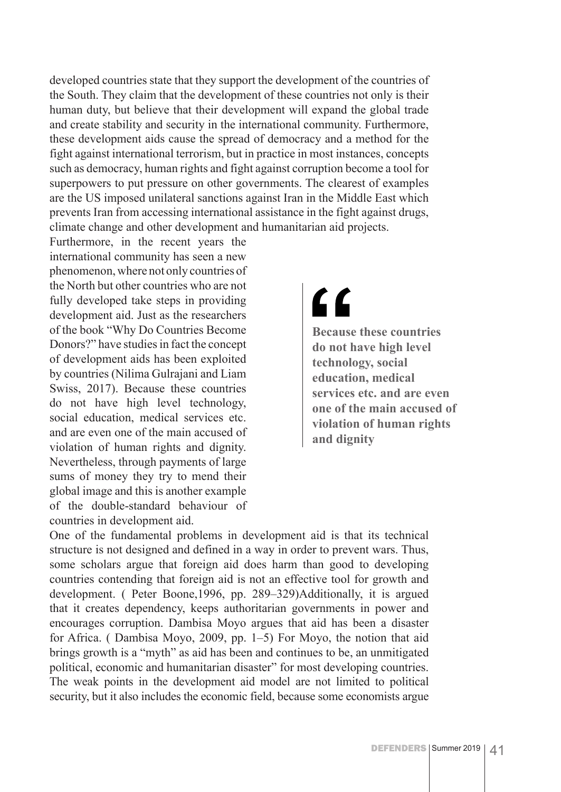developed countries state that they support the development of the countries of the South. They claim that the development of these countries not only is their human duty, but believe that their development will expand the global trade and create stability and security in the international community. Furthermore, these development aids cause the spread of democracy and a method for the fight against international terrorism, but in practice in most instances, concepts such as democracy, human rights and fight against corruption become a tool for superpowers to put pressure on other governments. The clearest of examples are the US imposed unilateral sanctions against Iran in the Middle East which prevents Iran from accessing international assistance in the fight against drugs, climate change and other development and humanitarian aid projects.

Furthermore, in the recent years the international community has seen a new phenomenon, where not only countries of the North but other countries who are not fully developed take steps in providing development aid. Just as the researchers of the book "Why Do Countries Become Donors?" have studies in fact the concept of development aids has been exploited by countries (Nilima Gulrajani and Liam Swiss, 2017). Because these countries do not have high level technology, social education, medical services etc. and are even one of the main accused of violation of human rights and dignity. Nevertheless, through payments of large sums of money they try to mend their global image and this is another example of the double-standard behaviour of countries in development aid.

## <u>"</u>

**Because these countries do not have high level technology, social education, medical services etc. and are even one of the main accused of violation of human rights and dignity**

One of the fundamental problems in development aid is that its technical structure is not designed and defined in a way in order to prevent wars. Thus, some scholars argue that foreign aid does harm than good to developing countries contending that foreign aid is not an effective tool for growth and development. ( Peter Boone,1996, pp. 289–329)Additionally, it is argued that it creates dependency, keeps authoritarian governments in power and encourages corruption. Dambisa Moyo argues that aid has been a disaster for Africa. ( Dambisa Moyo, 2009, pp. 1–5) For Moyo, the notion that aid brings growth is a "myth" as aid has been and continues to be, an unmitigated political, economic and humanitarian disaster" for most developing countries. The weak points in the development aid model are not limited to political security, but it also includes the economic field, because some economists argue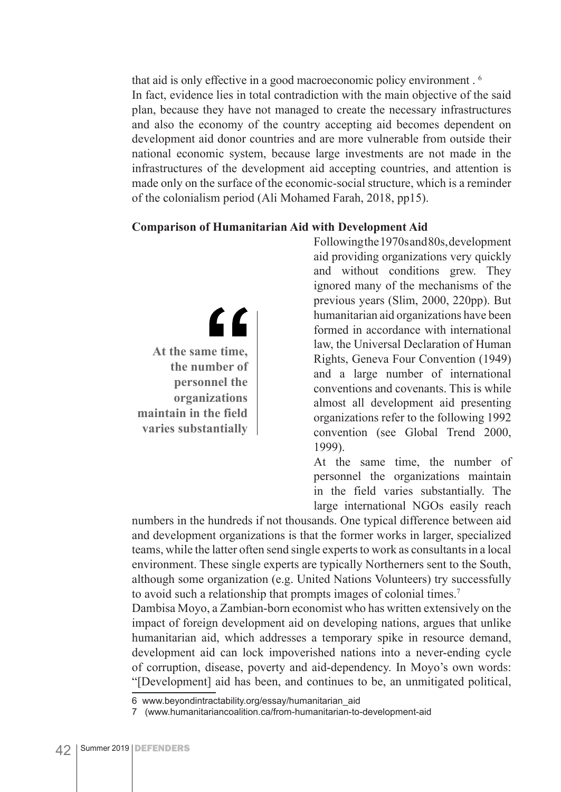that aid is only effective in a good macroeconomic policy environment . 6 In fact, evidence lies in total contradiction with the main objective of the said plan, because they have not managed to create the necessary infrastructures and also the economy of the country accepting aid becomes dependent on development aid donor countries and are more vulnerable from outside their national economic system, because large investments are not made in the infrastructures of the development aid accepting countries, and attention is made only on the surface of the economic-social structure, which is a reminder of the colonialism period (Ali Mohamed Farah, 2018, pp15).

#### **Comparison of Humanitarian Aid with Development Aid**

" **At the same time, the number of personnel the organizations maintain in the field varies substantially**

Following the 1970s and 80s, development aid providing organizations very quickly and without conditions grew. They ignored many of the mechanisms of the previous years (Slim, 2000, 220pp). But humanitarian aid organizations have been formed in accordance with international law, the Universal Declaration of Human Rights, Geneva Four Convention (1949) and a large number of international conventions and covenants. This is while almost all development aid presenting organizations refer to the following 1992 convention (see Global Trend 2000, 1999).

At the same time, the number of personnel the organizations maintain in the field varies substantially. The large international NGOs easily reach

numbers in the hundreds if not thousands. One typical difference between aid and development organizations is that the former works in larger, specialized teams, while the latter often send single experts to work as consultants in a local environment. These single experts are typically Northerners sent to the South, although some organization (e.g. United Nations Volunteers) try successfully to avoid such a relationship that prompts images of colonial times.7

Dambisa Moyo, a Zambian-born economist who has written extensively on the impact of foreign development aid on developing nations, argues that unlike humanitarian aid, which addresses a temporary spike in resource demand, development aid can lock impoverished nations into a never-ending cycle of corruption, disease, poverty and aid-dependency. In Moyo's own words: "[Development] aid has been, and continues to be, an unmitigated political,

<sup>6</sup> www.beyondintractability.org/essay/humanitarian\_aid

<sup>7 (</sup>www.humanitariancoalition.ca/from-humanitarian-to-development-aid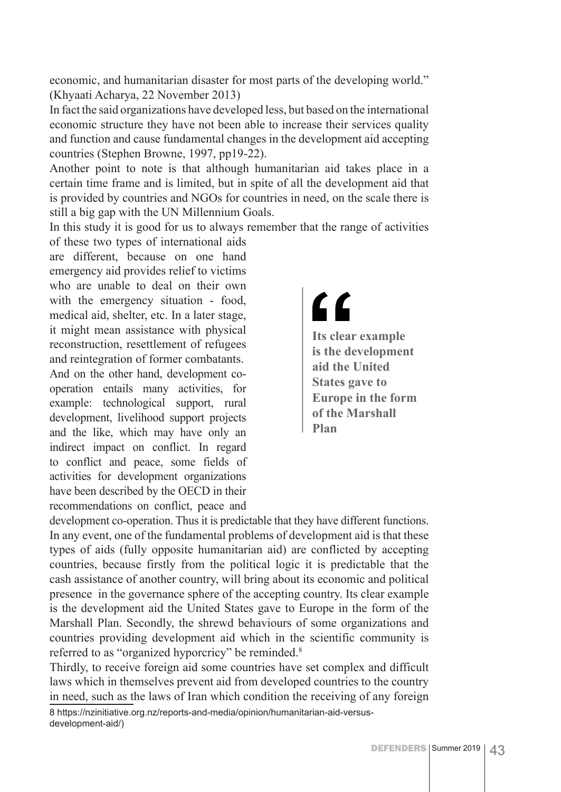economic, and humanitarian disaster for most parts of the developing world." (Khyaati Acharya, 22 November 2013)

In fact the said organizations have developed less, but based on the international economic structure they have not been able to increase their services quality and function and cause fundamental changes in the development aid accepting countries (Stephen Browne, 1997, pp19-22).

Another point to note is that although humanitarian aid takes place in a certain time frame and is limited, but in spite of all the development aid that is provided by countries and NGOs for countries in need, on the scale there is still a big gap with the UN Millennium Goals.

In this study it is good for us to always remember that the range of activities

of these two types of international aids are different, because on one hand emergency aid provides relief to victims who are unable to deal on their own with the emergency situation - food, medical aid, shelter, etc. In a later stage, it might mean assistance with physical reconstruction, resettlement of refugees and reintegration of former combatants. And on the other hand, development cooperation entails many activities, for example: technological support, rural development, livelihood support projects and the like, which may have only an indirect impact on conflict. In regard to conflict and peace, some fields of activities for development organizations have been described by the OECD in their recommendations on conflict, peace and

## <u>"</u>

**Its clear example is the development aid the United States gave to Europe in the form of the Marshall Plan**

development co-operation. Thus it is predictable that they have different functions. In any event, one of the fundamental problems of development aid is that these types of aids (fully opposite humanitarian aid) are conflicted by accepting countries, because firstly from the political logic it is predictable that the cash assistance of another country, will bring about its economic and political presence in the governance sphere of the accepting country. Its clear example is the development aid the United States gave to Europe in the form of the Marshall Plan. Secondly, the shrewd behaviours of some organizations and countries providing development aid which in the scientific community is referred to as "organized hyporcricy" be reminded.<sup>8</sup>

Thirdly, to receive foreign aid some countries have set complex and difficult laws which in themselves prevent aid from developed countries to the country in need, such as the laws of Iran which condition the receiving of any foreign

8 https://nzinitiative.org.nz/reports-and-media/opinion/humanitarian-aid-versusdevelopment-aid/)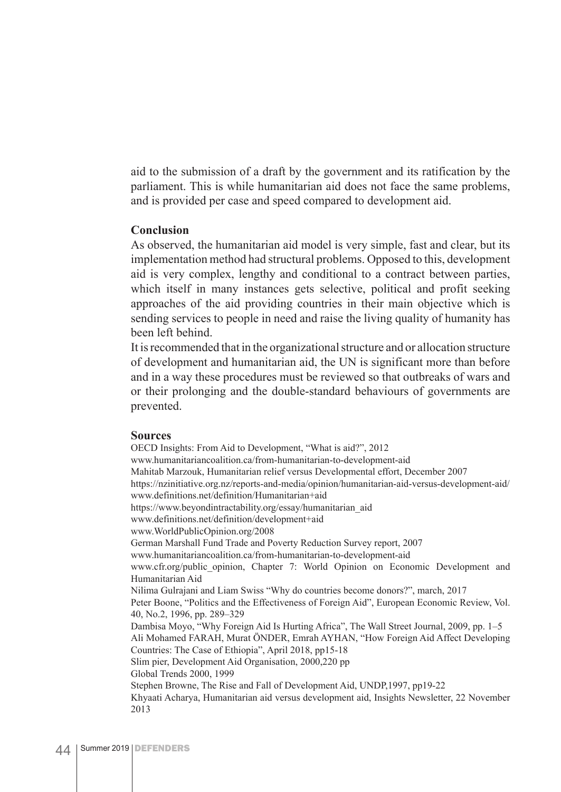aid to the submission of a draft by the government and its ratification by the parliament. This is while humanitarian aid does not face the same problems, and is provided per case and speed compared to development aid.

#### **Conclusion**

As observed, the humanitarian aid model is very simple, fast and clear, but its implementation method had structural problems. Opposed to this, development aid is very complex, lengthy and conditional to a contract between parties, which itself in many instances gets selective, political and profit seeking approaches of the aid providing countries in their main objective which is sending services to people in need and raise the living quality of humanity has been left behind.

It is recommended that in the organizational structure and or allocation structure of development and humanitarian aid, the UN is significant more than before and in a way these procedures must be reviewed so that outbreaks of wars and or their prolonging and the double-standard behaviours of governments are prevented.

#### **Sources**

OECD Insights: From Aid to Development, "What is aid?", 2012 www.humanitariancoalition.ca/from-humanitarian-to-development-aid Mahitab Marzouk, Humanitarian relief versus Developmental effort, December 2007 https://nzinitiative.org.nz/reports-and-media/opinion/humanitarian-aid-versus-development-aid/ www.definitions.net/definition/Humanitarian+aid https://www.beyondintractability.org/essay/humanitarian\_aid www.definitions.net/definition/development+aid www.WorldPublicOpinion.org/2008 German Marshall Fund Trade and Poverty Reduction Survey report, 2007 www.humanitariancoalition.ca/from-humanitarian-to-development-aid www.cfr.org/public opinion, Chapter 7: World Opinion on Economic Development and Humanitarian Aid Nilima Gulrajani and Liam Swiss "Why do countries become donors?", march, 2017 Peter Boone, "Politics and the Effectiveness of Foreign Aid", European Economic Review, Vol. 40, No.2, 1996, pp. 289–329 Dambisa Moyo, "Why Foreign Aid Is Hurting Africa", The Wall Street Journal, 2009, pp. 1–5 Ali Mohamed FARAH, Murat ÖNDER, Emrah AYHAN, "How Foreign Aid Affect Developing Countries: The Case of Ethiopia", April 2018, pp15-18 Slim pier, Development Aid Organisation, 2000,220 pp Global Trends 2000, 1999 Stephen Browne, The Rise and Fall of Development Aid, UNDP,1997, pp19-22 Khyaati Acharya, Humanitarian aid versus development aid, Insights Newsletter, 22 November 2013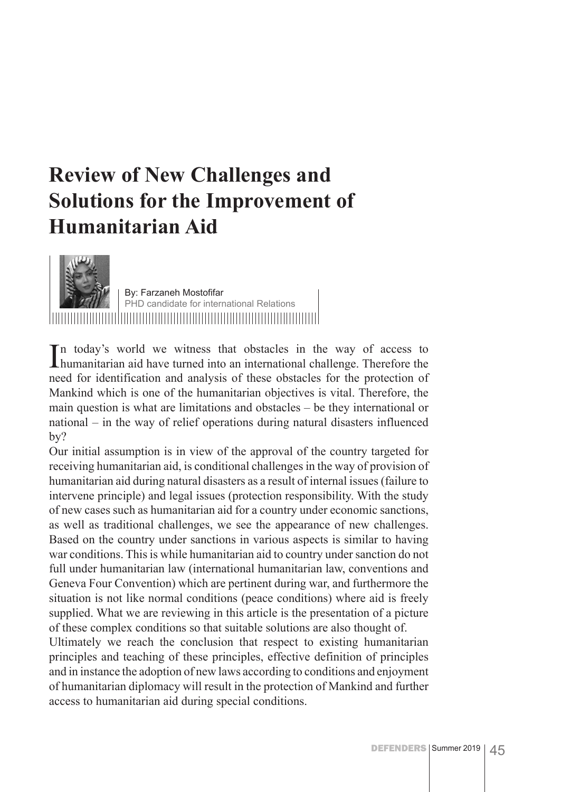### **Review of New Challenges and Solutions for the Improvement of Humanitarian Aid**



By: Farzaneh Mostofifar PHD candidate for international Relations 

In today's world we witness that obstacles in the way of access to humanitarian aid have turned into an international challenge. Therefore the n today's world we witness that obstacles in the way of access to need for identification and analysis of these obstacles for the protection of Mankind which is one of the humanitarian objectives is vital. Therefore, the main question is what are limitations and obstacles – be they international or national – in the way of relief operations during natural disasters influenced by?

Our initial assumption is in view of the approval of the country targeted for receiving humanitarian aid, is conditional challenges in the way of provision of humanitarian aid during natural disasters as a result of internal issues (failure to intervene principle) and legal issues (protection responsibility. With the study of new cases such as humanitarian aid for a country under economic sanctions, as well as traditional challenges, we see the appearance of new challenges. Based on the country under sanctions in various aspects is similar to having war conditions. This is while humanitarian aid to country under sanction do not full under humanitarian law (international humanitarian law, conventions and Geneva Four Convention) which are pertinent during war, and furthermore the situation is not like normal conditions (peace conditions) where aid is freely supplied. What we are reviewing in this article is the presentation of a picture of these complex conditions so that suitable solutions are also thought of.

Ultimately we reach the conclusion that respect to existing humanitarian principles and teaching of these principles, effective definition of principles and in instance the adoption of new laws according to conditions and enjoyment of humanitarian diplomacy will result in the protection of Mankind and further access to humanitarian aid during special conditions.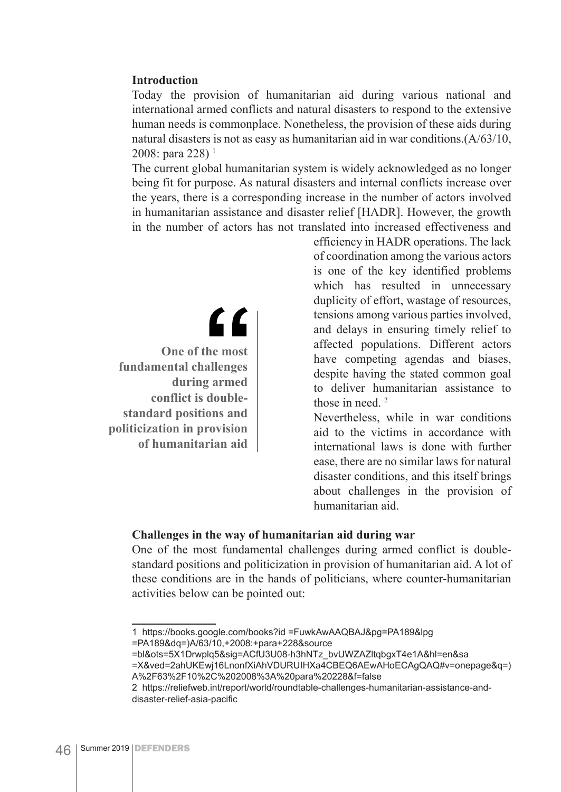#### **Introduction**

Today the provision of humanitarian aid during various national and international armed conflicts and natural disasters to respond to the extensive human needs is commonplace. Nonetheless, the provision of these aids during natural disasters is not as easy as humanitarian aid in war conditions.(A/63/10, 2008: para 228)<sup> $1$ </sup>

The current global humanitarian system is widely acknowledged as no longer being fit for purpose. As natural disasters and internal conflicts increase over the years, there is a corresponding increase in the number of actors involved in humanitarian assistance and disaster relief [HADR]. However, the growth in the number of actors has not translated into increased effectiveness and

> efficiency in HADR operations. The lack of coordination among the various actors is one of the key identified problems which has resulted in unnecessary duplicity of effort, wastage of resources, tensions among various parties involved, and delays in ensuring timely relief to affected populations. Different actors have competing agendas and biases, despite having the stated common goal to deliver humanitarian assistance to those in need.  $2$

> Nevertheless, while in war conditions aid to the victims in accordance with international laws is done with further ease, there are no similar laws for natural disaster conditions, and this itself brings about challenges in the provision of humanitarian aid.

#### **Challenges in the way of humanitarian aid during war**

One of the most fundamental challenges during armed conflict is doublestandard positions and politicization in provision of humanitarian aid. A lot of these conditions are in the hands of politicians, where counter-humanitarian activities below can be pointed out:

**One of the most fundamental challenges during armed conflict is doublestandard positions and politicization in provision of humanitarian aid**

<u>"</u>

<sup>1</sup> https://books.google.com/books?id =FuwkAwAAQBAJ&pg=PA189&lpg =PA189&dq=)A/63/10,+2008:+para+228&source

<sup>=</sup>bl&ots=5X1Drwplq5&sig=ACfU3U08-h3hNTz\_bvUWZAZltqbgxT4e1A&hl=en&sa

<sup>=</sup>X&ved=2ahUKEwj16LnonfXiAhVDURUIHXa4CBEQ6AEwAHoECAgQAQ#v=onepage&q=) A%2F63%2F10%2C%202008%3A%20para%20228&f=false

<sup>2</sup> https://reliefweb.int/report/world/roundtable-challenges-humanitarian-assistance-anddisaster-relief-asia-pacific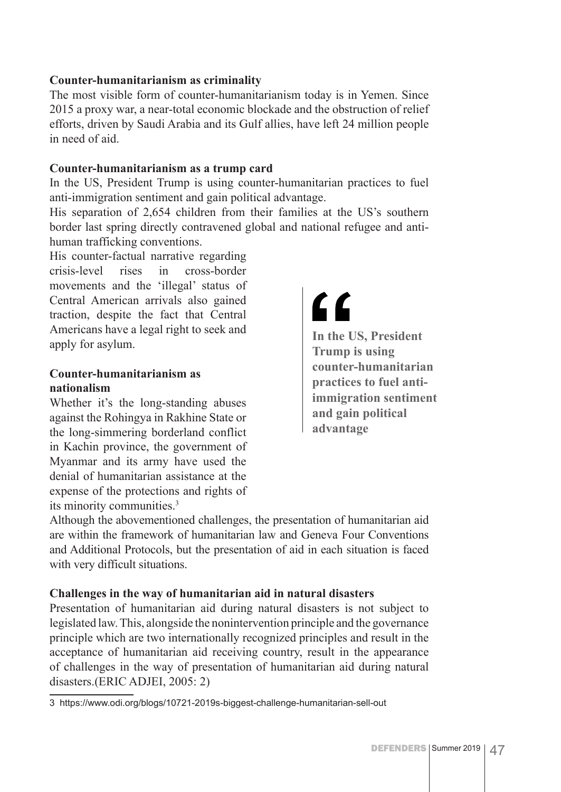#### **Counter-humanitarianism as criminality**

The most visible form of counter-humanitarianism today is in Yemen. Since 2015 a proxy war, a near-total economic blockade and the obstruction of relief efforts, driven by Saudi Arabia and its Gulf allies, have left 24 million people in need of aid.

#### **Counter-humanitarianism as a trump card**

In the US, President Trump is using counter-humanitarian practices to fuel anti-immigration sentiment and gain political advantage.

His separation of 2,654 children from their families at the US's southern border last spring directly contravened global and national refugee and antihuman trafficking conventions.

His counter-factual narrative regarding crisis-level rises in cross-border movements and the 'illegal' status of Central American arrivals also gained traction, despite the fact that Central Americans have a legal right to seek and apply for asylum.

#### **Counter-humanitarianism as nationalism**

Whether it's the long-standing abuses against the Rohingya in Rakhine State or the long-simmering borderland conflict in Kachin province, the government of Myanmar and its army have used the denial of humanitarian assistance at the expense of the protections and rights of its minority communities.3

### <u>"</u>

**In the US, President Trump is using counter-humanitarian practices to fuel antiimmigration sentiment and gain political advantage**

Although the abovementioned challenges, the presentation of humanitarian aid are within the framework of humanitarian law and Geneva Four Conventions and Additional Protocols, but the presentation of aid in each situation is faced with very difficult situations.

#### **Challenges in the way of humanitarian aid in natural disasters**

Presentation of humanitarian aid during natural disasters is not subject to legislated law. This, alongside the nonintervention principle and the governance principle which are two internationally recognized principles and result in the acceptance of humanitarian aid receiving country, result in the appearance of challenges in the way of presentation of humanitarian aid during natural disasters.(ERIC ADJEI, 2005: 2)

<sup>3</sup> https://www.odi.org/blogs/10721-2019s-biggest-challenge-humanitarian-sell-out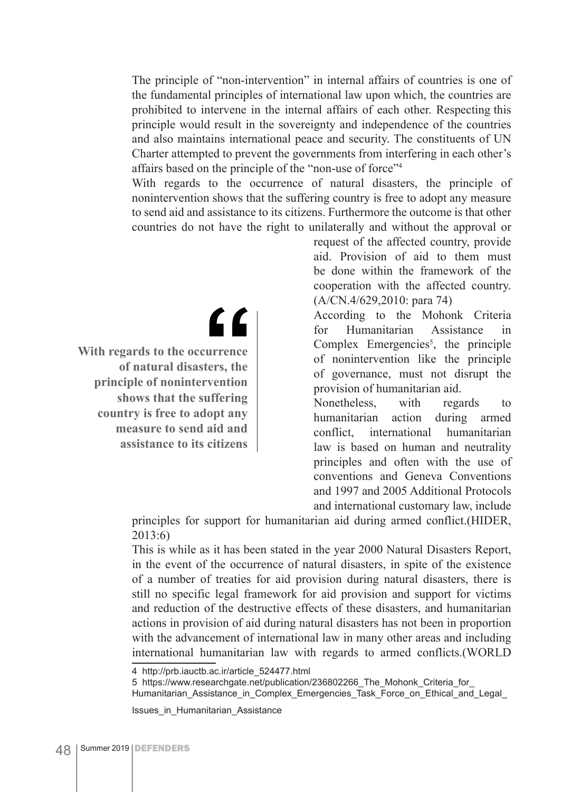The principle of "non-intervention" in internal affairs of countries is one of the fundamental principles of international law upon which, the countries are prohibited to intervene in the internal affairs of each other. Respecting this principle would result in the sovereignty and independence of the countries and also maintains international peace and security. The constituents of UN Charter attempted to prevent the governments from interfering in each other's affairs based on the principle of the "non-use of force"4

With regards to the occurrence of natural disasters, the principle of nonintervention shows that the suffering country is free to adopt any measure to send aid and assistance to its citizens. Furthermore the outcome is that other countries do not have the right to unilaterally and without the approval or

> request of the affected country, provide aid. Provision of aid to them must be done within the framework of the cooperation with the affected country. (A/CN.4/629,2010: para 74)

> According to the Mohonk Criteria for Humanitarian Assistance Complex Emergencies<sup>5</sup>, the principle of nonintervention like the principle of governance, must not disrupt the provision of humanitarian aid.

> Nonetheless, with regards to humanitarian action during armed conflict, international humanitarian law is based on human and neutrality principles and often with the use of conventions and Geneva Conventions and 1997 and 2005 Additional Protocols and international customary law, include

principles for support for humanitarian aid during armed conflict.(HIDER, 2013:6)

This is while as it has been stated in the year 2000 Natural Disasters Report, in the event of the occurrence of natural disasters, in spite of the existence of a number of treaties for aid provision during natural disasters, there is still no specific legal framework for aid provision and support for victims and reduction of the destructive effects of these disasters, and humanitarian actions in provision of aid during natural disasters has not been in proportion with the advancement of international law in many other areas and including international humanitarian law with regards to armed conflicts.(WORLD

5 https://www.researchgate.net/publication/236802266\_The\_Mohonk\_Criteria\_for\_

Humanitarian Assistance in Complex Emergencies Task Force on Ethical and Legal

Issues\_in\_Humanitarian\_Assistance

" **With regards to the occurrence of natural disasters, the** 

**principle of nonintervention shows that the suffering country is free to adopt any measure to send aid and assistance to its citizens**

<sup>4</sup> http://prb.iauctb.ac.ir/article\_524477.html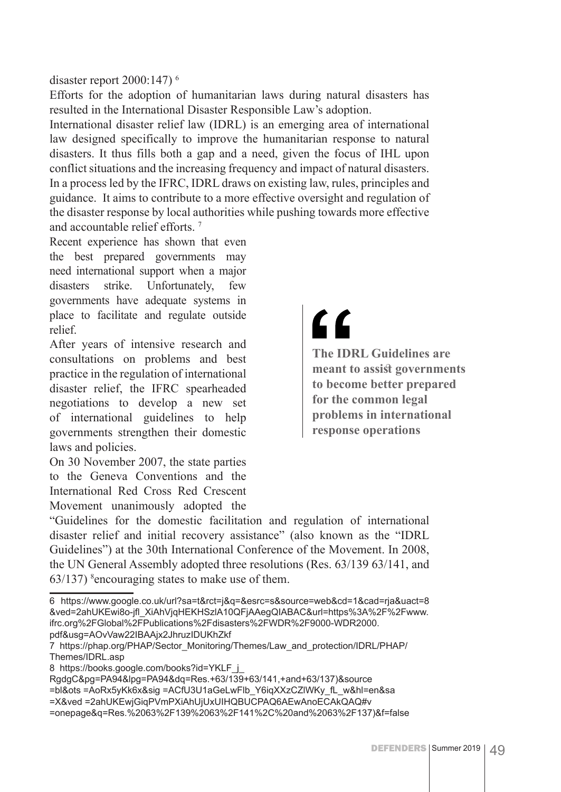disaster report 2000:147) 6

Efforts for the adoption of humanitarian laws during natural disasters has resulted in the International Disaster Responsible Law's adoption.

International disaster relief law (IDRL) is an emerging area of international law designed specifically to improve the humanitarian response to natural disasters. It thus fills both a gap and a need, given the focus of IHL upon conflict situations and the increasing frequency and impact of natural disasters. In a process led by the IFRC, IDRL draws on existing law, rules, principles and guidance. It aims to contribute to a more effective oversight and regulation of the disaster response by local authorities while pushing towards more effective and accountable relief efforts. 7

Recent experience has shown that even the best prepared governments may need international support when a major disasters strike. Unfortunately, few governments have adequate systems in place to facilitate and regulate outside relief.

After years of intensive research and consultations on problems and best practice in the regulation of international disaster relief, the IFRC spearheaded negotiations to develop a new set of international guidelines to help governments strengthen their domestic laws and policies.

On 30 November 2007, the state parties to the Geneva Conventions and the International Red Cross Red Crescent Movement unanimously adopted the

## <u>"</u>

**The IDRL Guidelines are meant to assist governments to become better prepared for the common legal problems in international response operations**

"Guidelines for the domestic facilitation and regulation of international disaster relief and initial recovery assistance" (also known as the "IDRL Guidelines") at the 30th International Conference of the Movement. In 2008, the UN General Assembly adopted three resolutions (Res. 63/139 63/141, and  $63/137$ ) <sup>8</sup> encouraging states to make use of them.

<sup>6</sup> https://www.google.co.uk/url?sa=t&rct=j&q=&esrc=s&source=web&cd=1&cad=rja&uact=8 &ved=2ahUKEwi8o-jfl\_XiAhVjqHEKHSzlA10QFjAAegQIABAC&url=https%3A%2F%2Fwww. ifrc.org%2FGlobal%2FPublications%2Fdisasters%2FWDR%2F9000-WDR2000. pdf&usg=AOvVaw22IBAAjx2JhruzIDUKhZkf

<sup>7</sup> https://phap.org/PHAP/Sector\_Monitoring/Themes/Law\_and\_protection/IDRL/PHAP/ Themes/IDRL.asp

<sup>8</sup> https://books.google.com/books?id=YKLF\_j

RgdgC&pg=PA94&lpg=PA94&dq=Res.+63/139+63/141,+and+63/137)&source

<sup>=</sup>bl&ots =AoRx5yKk6x&sig =ACfU3U1aGeLwFlb\_Y6iqXXzCZlWKy\_fL\_w&hl=en&sa

<sup>=</sup>X&ved =2ahUKEwjGiqPVmPXiAhUjUxUIHQBUCPAQ6AEwAnoECAkQAQ#v

<sup>=</sup>onepage&q=Res.%2063%2F139%2063%2F141%2C%20and%2063%2F137)&f=false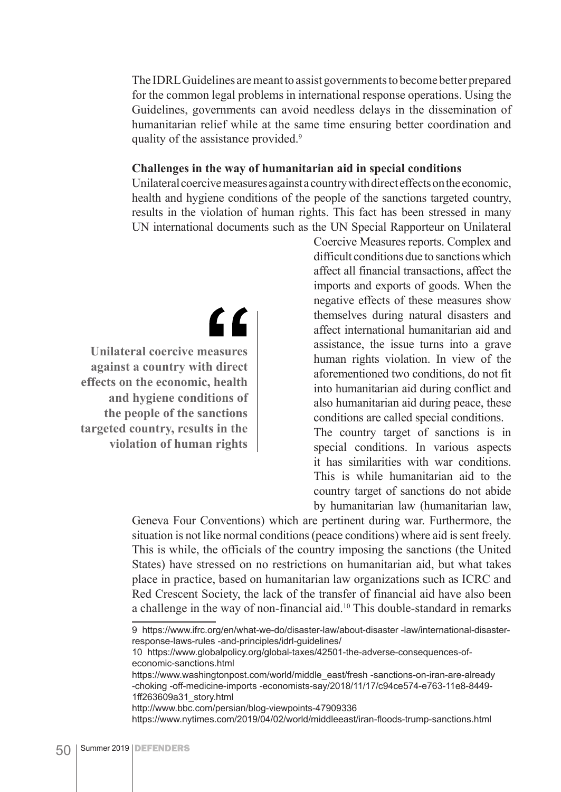The IDRL Guidelines are meant to assist governments to become better prepared for the common legal problems in international response operations. Using the Guidelines, governments can avoid needless delays in the dissemination of humanitarian relief while at the same time ensuring better coordination and quality of the assistance provided.<sup>9</sup>

#### **Challenges in the way of humanitarian aid in special conditions**

Unilateral coercive measures against a country with direct effects on the economic, health and hygiene conditions of the people of the sanctions targeted country, results in the violation of human rights. This fact has been stressed in many UN international documents such as the UN Special Rapporteur on Unilateral

 $\epsilon$ 

**Unilateral coercive measures against a country with direct effects on the economic, health and hygiene conditions of the people of the sanctions targeted country, results in the violation of human rights**

Coercive Measures reports. Complex and difficult conditions due to sanctions which affect all financial transactions, affect the imports and exports of goods. When the negative effects of these measures show themselves during natural disasters and affect international humanitarian aid and assistance, the issue turns into a grave human rights violation. In view of the aforementioned two conditions, do not fit into humanitarian aid during conflict and also humanitarian aid during peace, these conditions are called special conditions.

The country target of sanctions is in special conditions. In various aspects it has similarities with war conditions. This is while humanitarian aid to the country target of sanctions do not abide by humanitarian law (humanitarian law,

Geneva Four Conventions) which are pertinent during war. Furthermore, the situation is not like normal conditions (peace conditions) where aid is sent freely. This is while, the officials of the country imposing the sanctions (the United States) have stressed on no restrictions on humanitarian aid, but what takes place in practice, based on humanitarian law organizations such as ICRC and Red Crescent Society, the lack of the transfer of financial aid have also been a challenge in the way of non-financial aid.10 This double-standard in remarks

<sup>9</sup> https://www.ifrc.org/en/what-we-do/disaster-law/about-disaster -law/international-disasterresponse-laws-rules -and-principles/idrl-guidelines/

<sup>10</sup> https://www.globalpolicy.org/global-taxes/42501-the-adverse-consequences-ofeconomic-sanctions.html

https://www.washingtonpost.com/world/middle\_east/fresh -sanctions-on-iran-are-already -choking -off-medicine-imports -economists-say/2018/11/17/c94ce574-e763-11e8-8449- 1ff263609a31\_story.html

http://www.bbc.com/persian/blog-viewpoints-47909336

https://www.nytimes.com/2019/04/02/world/middleeast/iran-floods-trump-sanctions.html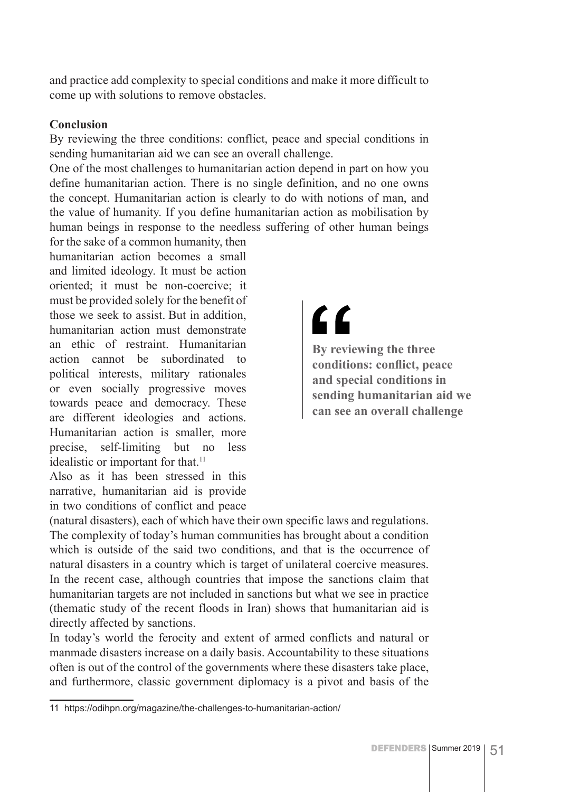and practice add complexity to special conditions and make it more difficult to come up with solutions to remove obstacles.

#### **Conclusion**

By reviewing the three conditions: conflict, peace and special conditions in sending humanitarian aid we can see an overall challenge.

One of the most challenges to humanitarian action depend in part on how you define humanitarian action. There is no single definition, and no one owns the concept. Humanitarian action is clearly to do with notions of man, and the value of humanity. If you define humanitarian action as mobilisation by human beings in response to the needless suffering of other human beings

for the sake of a common humanity, then humanitarian action becomes a small and limited ideology. It must be action oriented; it must be non-coercive; it must be provided solely for the benefit of those we seek to assist. But in addition, humanitarian action must demonstrate an ethic of restraint. Humanitarian action cannot be subordinated to political interests, military rationales or even socially progressive moves towards peace and democracy. These are different ideologies and actions. Humanitarian action is smaller, more precise, self-limiting but no less idealistic or important for that.<sup>11</sup>

Also as it has been stressed in this narrative, humanitarian aid is provide in two conditions of conflict and peace

## "

**By reviewing the three conditions: conflict, peace and special conditions in sending humanitarian aid we can see an overall challenge**

(natural disasters), each of which have their own specific laws and regulations. The complexity of today's human communities has brought about a condition which is outside of the said two conditions, and that is the occurrence of natural disasters in a country which is target of unilateral coercive measures. In the recent case, although countries that impose the sanctions claim that humanitarian targets are not included in sanctions but what we see in practice (thematic study of the recent floods in Iran) shows that humanitarian aid is directly affected by sanctions.

In today's world the ferocity and extent of armed conflicts and natural or manmade disasters increase on a daily basis. Accountability to these situations often is out of the control of the governments where these disasters take place, and furthermore, classic government diplomacy is a pivot and basis of the

<sup>11</sup> https://odihpn.org/magazine/the-challenges-to-humanitarian-action/